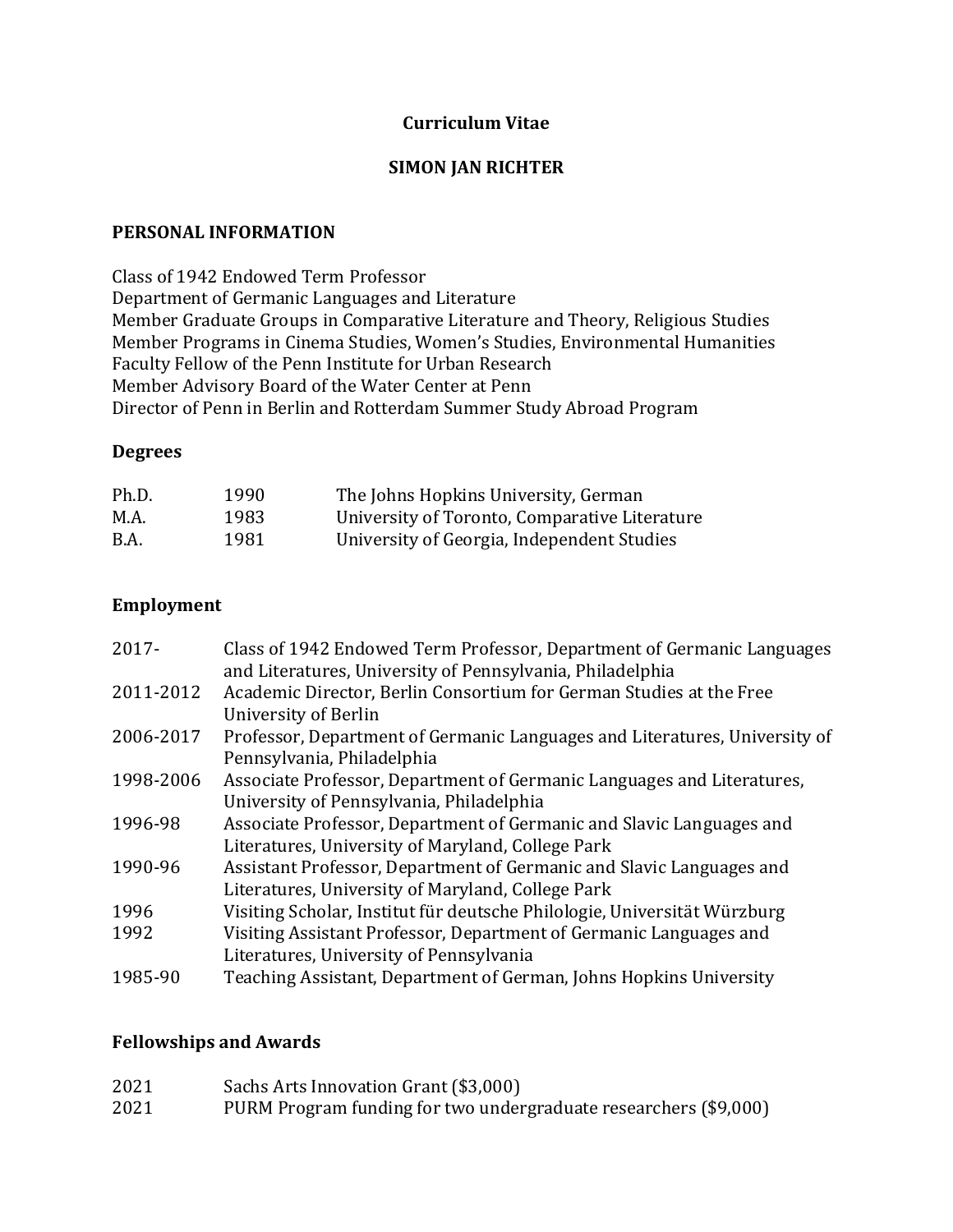# **Curriculum Vitae**

## **SIMON JAN RICHTER**

## **PERSONAL INFORMATION**

Class of 1942 Endowed Term Professor Department of Germanic Languages and Literature Member Graduate Groups in Comparative Literature and Theory, Religious Studies Member Programs in Cinema Studies, Women's Studies, Environmental Humanities Faculty Fellow of the Penn Institute for Urban Research Member Advisory Board of the Water Center at Penn Director of Penn in Berlin and Rotterdam Summer Study Abroad Program

### **Degrees**

| Ph.D. | 1990 | The Johns Hopkins University, German          |
|-------|------|-----------------------------------------------|
| M.A.  | 1983 | University of Toronto, Comparative Literature |
| B.A.  | 1981 | University of Georgia, Independent Studies    |

## **Employment**

| $2017 -$  | Class of 1942 Endowed Term Professor, Department of Germanic Languages<br>and Literatures, University of Pennsylvania, Philadelphia |
|-----------|-------------------------------------------------------------------------------------------------------------------------------------|
| 2011-2012 | Academic Director, Berlin Consortium for German Studies at the Free<br>University of Berlin                                         |
| 2006-2017 | Professor, Department of Germanic Languages and Literatures, University of<br>Pennsylvania, Philadelphia                            |
| 1998-2006 | Associate Professor, Department of Germanic Languages and Literatures,<br>University of Pennsylvania, Philadelphia                  |
| 1996-98   | Associate Professor, Department of Germanic and Slavic Languages and<br>Literatures, University of Maryland, College Park           |
| 1990-96   | Assistant Professor, Department of Germanic and Slavic Languages and<br>Literatures, University of Maryland, College Park           |
| 1996      | Visiting Scholar, Institut für deutsche Philologie, Universität Würzburg                                                            |
| 1992      | Visiting Assistant Professor, Department of Germanic Languages and                                                                  |
|           | Literatures, University of Pennsylvania                                                                                             |
| 1985-90   | Teaching Assistant, Department of German, Johns Hopkins University                                                                  |

## **Fellowships and Awards**

| 2021 | Sachs Arts Innovation Grant (\$3,000)                            |
|------|------------------------------------------------------------------|
| 2021 | PURM Program funding for two undergraduate researchers (\$9,000) |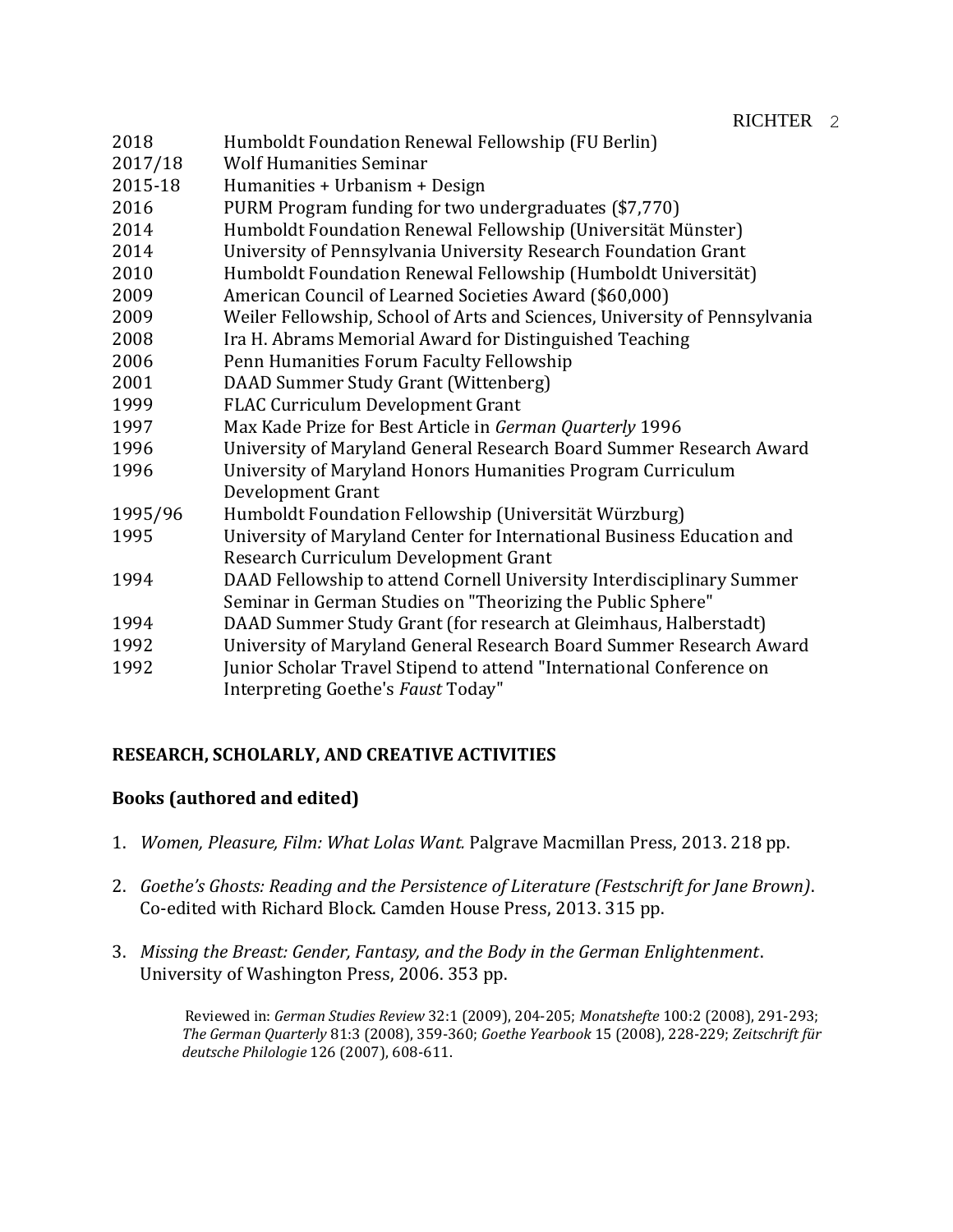| 2018    | Humboldt Foundation Renewal Fellowship (FU Berlin)                         |
|---------|----------------------------------------------------------------------------|
| 2017/18 | <b>Wolf Humanities Seminar</b>                                             |
| 2015-18 | Humanities + Urbanism + Design                                             |
| 2016    | PURM Program funding for two undergraduates (\$7,770)                      |
| 2014    | Humboldt Foundation Renewal Fellowship (Universität Münster)               |
| 2014    | University of Pennsylvania University Research Foundation Grant            |
| 2010    | Humboldt Foundation Renewal Fellowship (Humboldt Universität)              |
| 2009    | American Council of Learned Societies Award (\$60,000)                     |
| 2009    | Weiler Fellowship, School of Arts and Sciences, University of Pennsylvania |
| 2008    | Ira H. Abrams Memorial Award for Distinguished Teaching                    |
| 2006    | Penn Humanities Forum Faculty Fellowship                                   |
| 2001    | DAAD Summer Study Grant (Wittenberg)                                       |
| 1999    | FLAC Curriculum Development Grant                                          |
| 1997    | Max Kade Prize for Best Article in German Quarterly 1996                   |
| 1996    | University of Maryland General Research Board Summer Research Award        |
| 1996    | University of Maryland Honors Humanities Program Curriculum                |
|         | Development Grant                                                          |
| 1995/96 | Humboldt Foundation Fellowship (Universität Würzburg)                      |
| 1995    | University of Maryland Center for International Business Education and     |
|         | Research Curriculum Development Grant                                      |
| 1994    | DAAD Fellowship to attend Cornell University Interdisciplinary Summer      |
|         | Seminar in German Studies on "Theorizing the Public Sphere"                |
| 1994    | DAAD Summer Study Grant (for research at Gleimhaus, Halberstadt)           |
| 1992    | University of Maryland General Research Board Summer Research Award        |
| 1992    | Junior Scholar Travel Stipend to attend "International Conference on       |
|         | Interpreting Goethe's Faust Today"                                         |
|         |                                                                            |

# **RESEARCH, SCHOLARLY, AND CREATIVE ACTIVITIES**

# **Books (authored and edited)**

- 1. *Women, Pleasure, Film: What Lolas Want.* Palgrave Macmillan Press, 2013. 218 pp.
- 2. *Goethe's Ghosts: Reading and the Persistence of Literature (Festschrift for Jane Brown)*. Co-edited with Richard Block. Camden House Press, 2013. 315 pp.
- 3. *Missing the Breast: Gender, Fantasy, and the Body in the German Enlightenment*. University of Washington Press, 2006. 353 pp.

Reviewed in: *German Studies Review* 32:1 (2009), 204-205; *Monatshefte* 100:2 (2008), 291-293; *The German Quarterly* 81:3 (2008), 359-360; *Goethe Yearbook* 15 (2008), 228-229; *Zeitschrift für deutsche Philologie* 126 (2007), 608-611.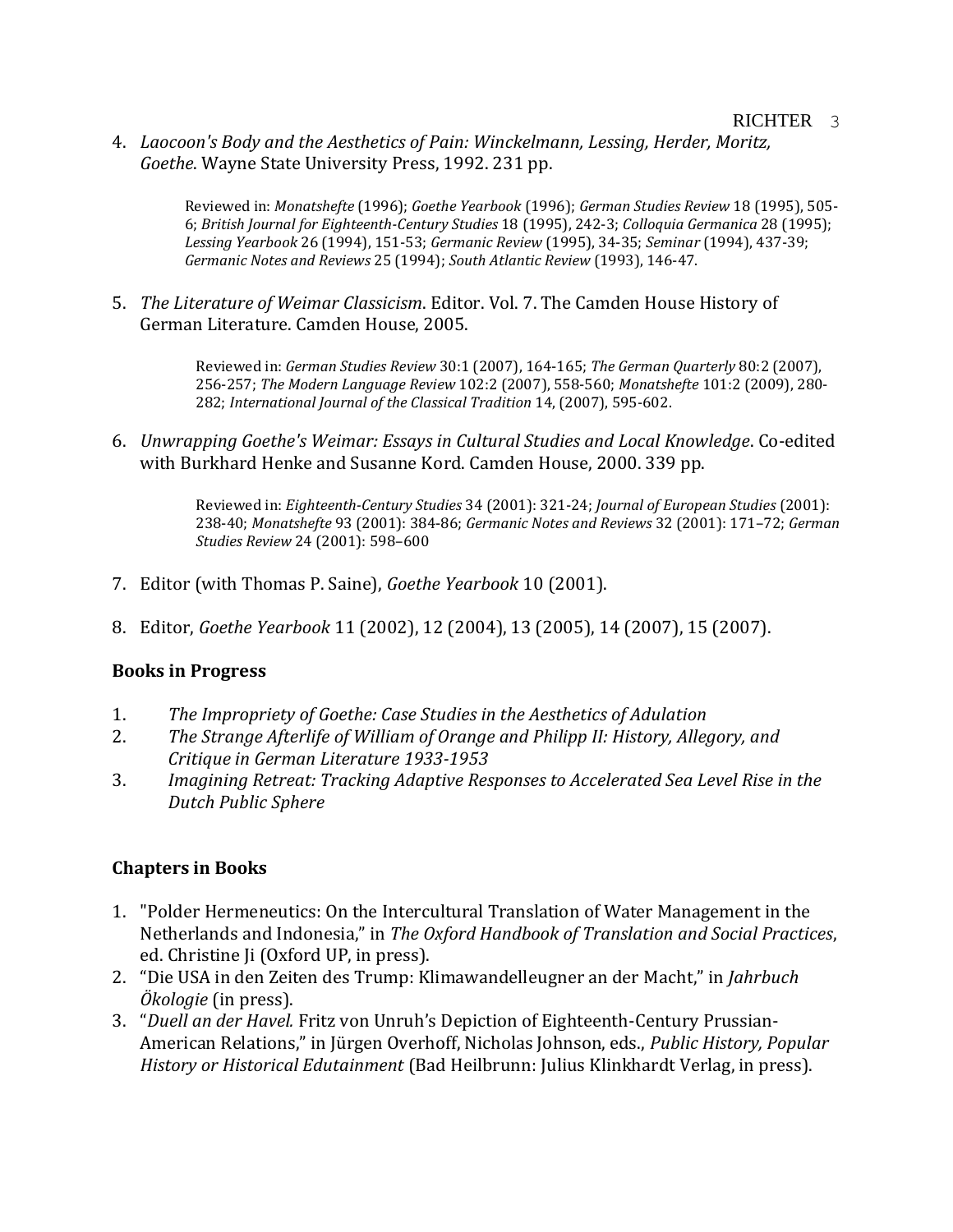4. *Laocoon's Body and the Aesthetics of Pain: Winckelmann, Lessing, Herder, Moritz, Goethe*. Wayne State University Press, 1992. 231 pp.

> Reviewed in: *Monatshefte* (1996); *Goethe Yearbook* (1996); *German Studies Review* 18 (1995), 505- 6; *British Journal for Eighteenth-Century Studies* 18 (1995), 242-3; *Colloquia Germanica* 28 (1995); *Lessing Yearbook* 26 (1994), 151-53; *Germanic Review* (1995), 34-35; *Seminar* (1994), 437-39; *Germanic Notes and Reviews* 25 (1994); *South Atlantic Review* (1993), 146-47.

5. *The Literature of Weimar Classicism*. Editor. Vol. 7. The Camden House History of German Literature. Camden House, 2005.

> Reviewed in: *German Studies Review* 30:1 (2007), 164-165; *The German Quarterly* 80:2 (2007), 256-257; *The Modern Language Review* 102:2 (2007), 558-560; *Monatshefte* 101:2 (2009), 280- 282; *International Journal of the Classical Tradition* 14, (2007), 595-602.

6. *Unwrapping Goethe's Weimar: Essays in Cultural Studies and Local Knowledge*. Co-edited with Burkhard Henke and Susanne Kord. Camden House, 2000. 339 pp.

> Reviewed in: *Eighteenth-Century Studies* 34 (2001): 321-24; *Journal of European Studies* (2001): 238-40; *Monatshefte* 93 (2001): 384-86; *Germanic Notes and Reviews* 32 (2001): 171–72; *German Studies Review* 24 (2001): 598–600

- 7. Editor (with Thomas P. Saine), *Goethe Yearbook* 10 (2001).
- 8. Editor, *Goethe Yearbook* 11 (2002), 12 (2004), 13 (2005), 14 (2007), 15 (2007).

# **Books in Progress**

- 1. *The Impropriety of Goethe: Case Studies in the Aesthetics of Adulation*
- 2. *The Strange Afterlife of William of Orange and Philipp II: History, Allegory, and Critique in German Literature 1933-1953*
- 3. *Imagining Retreat: Tracking Adaptive Responses to Accelerated Sea Level Rise in the Dutch Public Sphere*

# **Chapters in Books**

- 1. "Polder Hermeneutics: On the Intercultural Translation of Water Management in the Netherlands and Indonesia," in *The Oxford Handbook of Translation and Social Practices*, ed. Christine Ji (Oxford UP, in press).
- 2. "Die USA in den Zeiten des Trump: Klimawandelleugner an der Macht," in *Jahrbuch Ökologie* (in press).
- 3. "*Duell an der Havel.* Fritz von Unruh's Depiction of Eighteenth-Century Prussian-American Relations," in Jürgen Overhoff, Nicholas Johnson, eds., *Public History, Popular History or Historical Edutainment* (Bad Heilbrunn: Julius Klinkhardt Verlag, in press).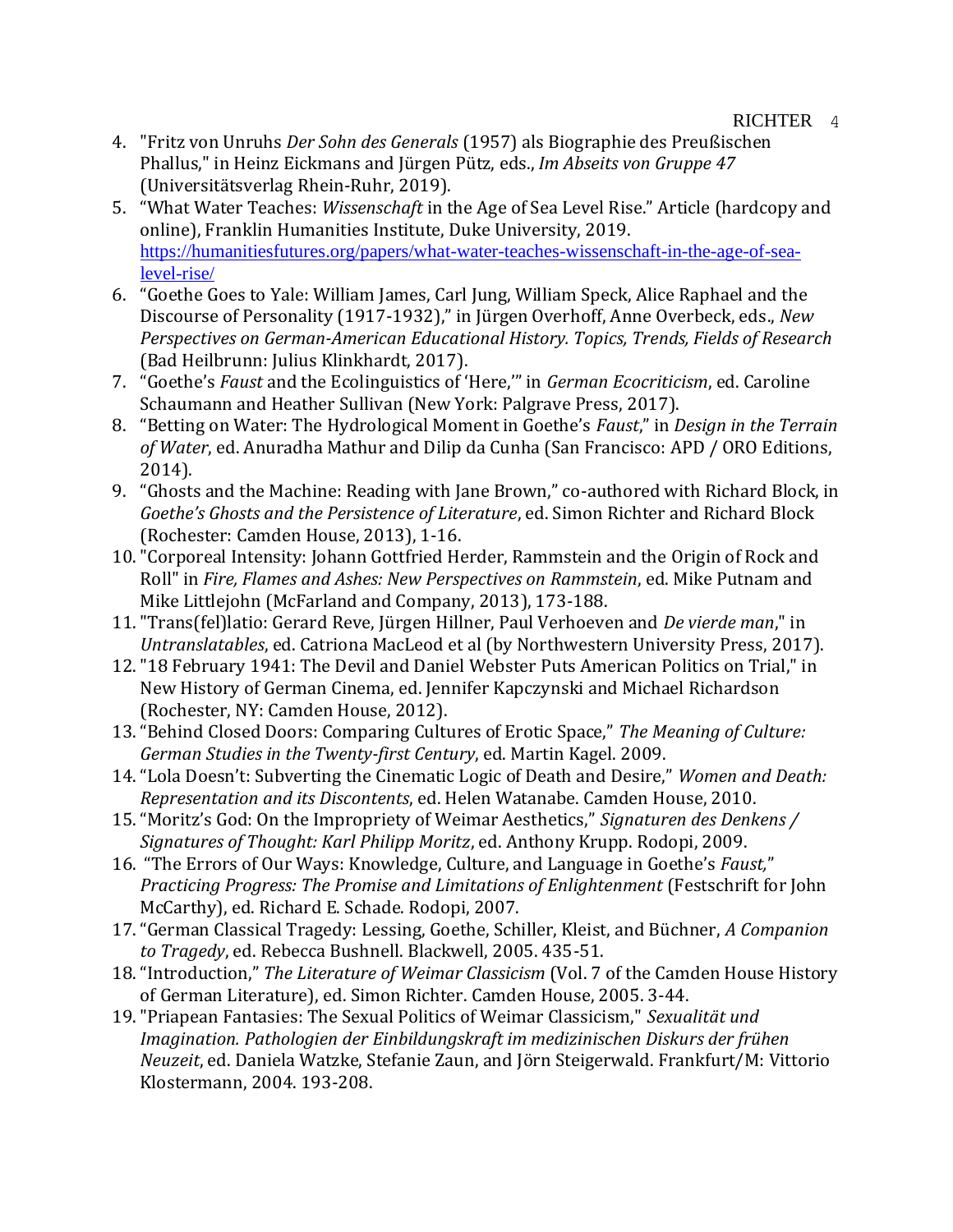- 4. "Fritz von Unruhs *Der Sohn des Generals* (1957) als Biographie des Preußischen Phallus," in Heinz Eickmans and Jürgen Pütz, eds., *Im Abseits von Gruppe 47* (Universitätsverlag Rhein-Ruhr, 2019).
- 5. "What Water Teaches: *Wissenschaft* in the Age of Sea Level Rise." Article (hardcopy and online), Franklin Humanities Institute, Duke University, 2019. [https://humanitiesfutures.org/papers/what-water-teaches-wissenschaft-in-the-age-of-sea](https://humanitiesfutures.org/papers/what-water-teaches-wissenschaft-in-the-age-of-sea-level-rise/)[level-rise/](https://humanitiesfutures.org/papers/what-water-teaches-wissenschaft-in-the-age-of-sea-level-rise/)
- 6. "Goethe Goes to Yale: William James, Carl Jung, William Speck, Alice Raphael and the Discourse of Personality (1917-1932)," in Jürgen Overhoff, Anne Overbeck, eds., *New Perspectives on German-American Educational History. Topics, Trends, Fields of Research*  (Bad Heilbrunn: Julius Klinkhardt, 2017).
- 7. "Goethe's *Faust* and the Ecolinguistics of 'Here,'" in *German Ecocriticism*, ed. Caroline Schaumann and Heather Sullivan (New York: Palgrave Press, 2017).
- 8. "Betting on Water: The Hydrological Moment in Goethe's *Faust*," in *Design in the Terrain of Water*, ed. Anuradha Mathur and Dilip da Cunha (San Francisco: APD / ORO Editions, 2014).
- 9. "Ghosts and the Machine: Reading with Jane Brown," co-authored with Richard Block, in *Goethe's Ghosts and the Persistence of Literature*, ed. Simon Richter and Richard Block (Rochester: Camden House, 2013), 1-16.
- 10."Corporeal Intensity: Johann Gottfried Herder, Rammstein and the Origin of Rock and Roll" in *Fire, Flames and Ashes: New Perspectives on Rammstein*, ed. Mike Putnam and Mike Littlejohn (McFarland and Company, 2013), 173-188.
- 11."Trans(fel)latio: Gerard Reve, Jürgen Hillner, Paul Verhoeven and *De vierde man*," in *Untranslatables*, ed. Catriona MacLeod et al (by Northwestern University Press, 2017).
- 12."18 February 1941: The Devil and Daniel Webster Puts American Politics on Trial," in New History of German Cinema, ed. Jennifer Kapczynski and Michael Richardson (Rochester, NY: Camden House, 2012).
- 13."Behind Closed Doors: Comparing Cultures of Erotic Space," *The Meaning of Culture: German Studies in the Twenty-first Century*, ed. Martin Kagel. 2009.
- 14."Lola Doesn't: Subverting the Cinematic Logic of Death and Desire," *Women and Death: Representation and its Discontents*, ed. Helen Watanabe. Camden House, 2010.
- 15."Moritz's God: On the Impropriety of Weimar Aesthetics," *Signaturen des Denkens / Signatures of Thought: Karl Philipp Moritz*, ed. Anthony Krupp. Rodopi, 2009.
- 16. "The Errors of Our Ways: Knowledge, Culture, and Language in Goethe's *Faust,*" *Practicing Progress: The Promise and Limitations of Enlightenment* (Festschrift for John McCarthy), ed. Richard E. Schade. Rodopi, 2007.
- 17."German Classical Tragedy: Lessing, Goethe, Schiller, Kleist, and Büchner, *A Companion to Tragedy*, ed. Rebecca Bushnell. Blackwell, 2005. 435-51.
- 18."Introduction," *The Literature of Weimar Classicism* (Vol. 7 of the Camden House History of German Literature), ed. Simon Richter. Camden House, 2005. 3-44.
- 19."Priapean Fantasies: The Sexual Politics of Weimar Classicism," *Sexualität und Imagination. Pathologien der Einbildungskraft im medizinischen Diskurs der frühen Neuzeit*, ed. Daniela Watzke, Stefanie Zaun, and Jörn Steigerwald. Frankfurt/M: Vittorio Klostermann, 2004. 193-208.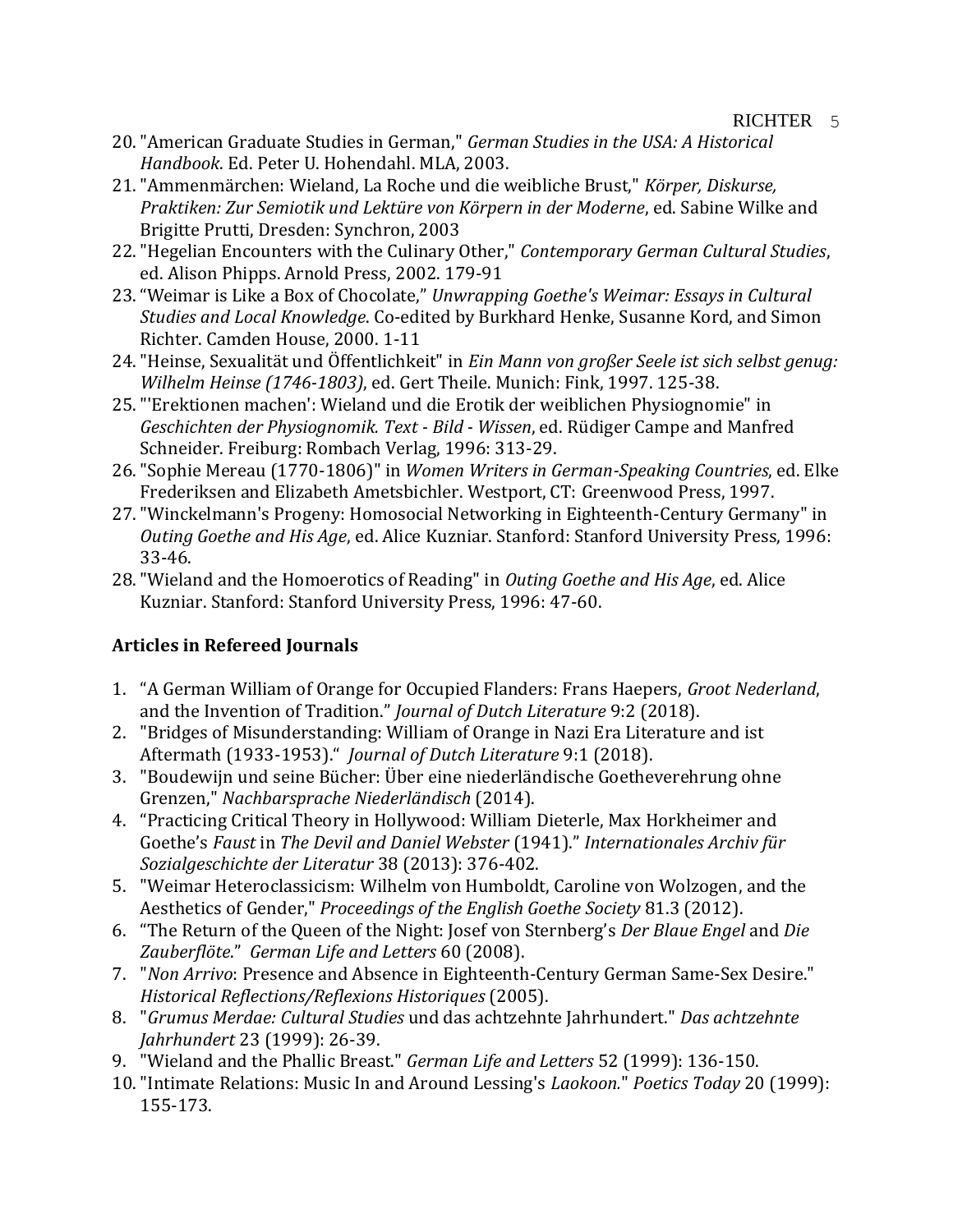- 20."American Graduate Studies in German," *German Studies in the USA: A Historical Handbook*. Ed. Peter U. Hohendahl. MLA, 2003.
- 21."Ammenmärchen: Wieland, La Roche und die weibliche Brust," *Körper, Diskurse, Praktiken: Zur Semiotik und Lektüre von Körpern in der Moderne*, ed. Sabine Wilke and Brigitte Prutti, Dresden: Synchron, 2003
- 22."Hegelian Encounters with the Culinary Other," *Contemporary German Cultural Studies*, ed. Alison Phipps. Arnold Press, 2002. 179-91
- 23."Weimar is Like a Box of Chocolate," *Unwrapping Goethe's Weimar: Essays in Cultural Studies and Local Knowledge*. Co-edited by Burkhard Henke, Susanne Kord, and Simon Richter. Camden House, 2000. 1-11
- 24."Heinse, Sexualität und Öffentlichkeit" in *Ein Mann von großer Seele ist sich selbst genug: Wilhelm Heinse (1746-1803)*, ed. Gert Theile. Munich: Fink, 1997. 125-38.
- 25."'Erektionen machen': Wieland und die Erotik der weiblichen Physiognomie" in *Geschichten der Physiognomik. Text - Bild - Wissen*, ed. Rüdiger Campe and Manfred Schneider. Freiburg: Rombach Verlag, 1996: 313-29.
- 26."Sophie Mereau (1770-1806)" in *Women Writers in German-Speaking Countries*, ed. Elke Frederiksen and Elizabeth Ametsbichler. Westport, CT: Greenwood Press, 1997.
- 27."Winckelmann's Progeny: Homosocial Networking in Eighteenth-Century Germany" in *Outing Goethe and His Age*, ed. Alice Kuzniar. Stanford: Stanford University Press, 1996: 33-46.
- 28."Wieland and the Homoerotics of Reading" in *Outing Goethe and His Age*, ed. Alice Kuzniar. Stanford: Stanford University Press, 1996: 47-60.

# **Articles in Refereed Journals**

- 1. "A German William of Orange for Occupied Flanders: Frans Haepers, *Groot Nederland*, and the Invention of Tradition." *Journal of Dutch Literature* 9:2 (2018).
- 2. "Bridges of Misunderstanding: William of Orange in Nazi Era Literature and ist Aftermath (1933-1953)." *Journal of Dutch Literature* 9:1 (2018).
- 3. "Boudewijn und seine Bücher: Über eine niederländische Goetheverehrung ohne Grenzen," *Nachbarsprache Niederländisch* (2014).
- 4. "Practicing Critical Theory in Hollywood: William Dieterle, Max Horkheimer and Goethe's *Faust* in *The Devil and Daniel Webster* (1941)." *Internationales Archiv für Sozialgeschichte der Literatur* 38 (2013): 376-402.
- 5. "Weimar Heteroclassicism: Wilhelm von Humboldt, Caroline von Wolzogen, and the Aesthetics of Gender," *Proceedings of the English Goethe Society* 81.3 (2012).
- 6. "The Return of the Queen of the Night: Josef von Sternberg's *Der Blaue Engel* and *Die Zauberflöte*." *German Life and Letters* 60 (2008).
- 7. "*Non Arrivo*: Presence and Absence in Eighteenth-Century German Same-Sex Desire." *Historical Reflections/Reflexions Historiques* (2005).
- 8. "*Grumus Merdae: Cultural Studies* und das achtzehnte Jahrhundert." *Das achtzehnte Jahrhundert* 23 (1999): 26-39.
- 9. "Wieland and the Phallic Breast." *German Life and Letters* 52 (1999): 136-150.
- 10."Intimate Relations: Music In and Around Lessing's *Laokoon.*" *Poetics Today* 20 (1999): 155-173.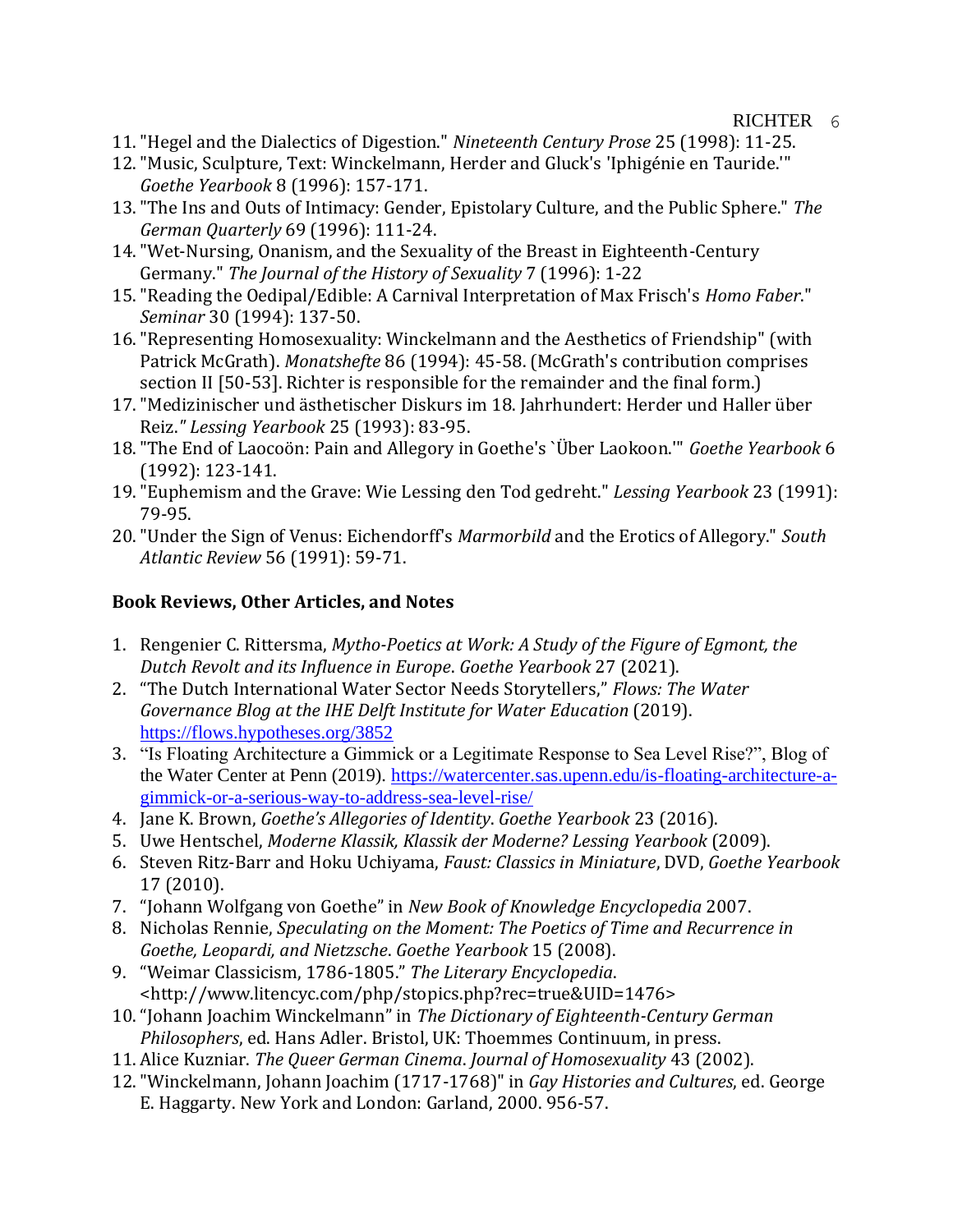## RICHTER 6

- 11."Hegel and the Dialectics of Digestion." *Nineteenth Century Prose* 25 (1998): 11-25.
- 12."Music, Sculpture, Text: Winckelmann, Herder and Gluck's 'Iphigénie en Tauride.'" *Goethe Yearbook* 8 (1996): 157-171.
- 13."The Ins and Outs of Intimacy: Gender, Epistolary Culture, and the Public Sphere." *The German Quarterly* 69 (1996): 111-24.
- 14."Wet-Nursing, Onanism, and the Sexuality of the Breast in Eighteenth-Century Germany." *The Journal of the History of Sexuality* 7 (1996): 1-22
- 15."Reading the Oedipal/Edible: A Carnival Interpretation of Max Frisch's *Homo Faber*." *Seminar* 30 (1994): 137-50.
- 16."Representing Homosexuality: Winckelmann and the Aesthetics of Friendship" (with Patrick McGrath). *Monatshefte* 86 (1994): 45-58. (McGrath's contribution comprises section II [50-53]. Richter is responsible for the remainder and the final form.)
- 17."Medizinischer und ästhetischer Diskurs im 18. Jahrhundert: Herder und Haller über Reiz.*" Lessing Yearbook* 25 (1993): 83-95.
- 18."The End of Laocoön: Pain and Allegory in Goethe's `Über Laokoon.'" *Goethe Yearbook* 6 (1992): 123-141.
- 19."Euphemism and the Grave: Wie Lessing den Tod gedreht." *Lessing Yearbook* 23 (1991): 79-95.
- 20."Under the Sign of Venus: Eichendorff's *Marmorbild* and the Erotics of Allegory." *South Atlantic Review* 56 (1991): 59-71.

# **Book Reviews, Other Articles, and Notes**

- 1. Rengenier C. Rittersma, *Mytho-Poetics at Work: A Study of the Figure of Egmont, the Dutch Revolt and its Influence in Europe*. *Goethe Yearbook* 27 (2021).
- 2. "The Dutch International Water Sector Needs Storytellers," *Flows: The Water Governance Blog at the IHE Delft Institute for Water Education* (2019). <https://flows.hypotheses.org/3852>
- 3. "Is Floating Architecture a Gimmick or a Legitimate Response to Sea Level Rise?", Blog of the Water Center at Penn (2019). [https://watercenter.sas.upenn.edu/is-floating-architecture-a](https://watercenter.sas.upenn.edu/is-floating-architecture-a-gimmick-or-a-serious-way-to-address-sea-level-rise/)[gimmick-or-a-serious-way-to-address-sea-level-rise/](https://watercenter.sas.upenn.edu/is-floating-architecture-a-gimmick-or-a-serious-way-to-address-sea-level-rise/)
- 4. Jane K. Brown, *Goethe's Allegories of Identity*. *Goethe Yearbook* 23 (2016).
- 5. Uwe Hentschel, *Moderne Klassik, Klassik der Moderne? Lessing Yearbook* (2009).
- 6. Steven Ritz-Barr and Hoku Uchiyama, *Faust: Classics in Miniature*, DVD, *Goethe Yearbook* 17 (2010).
- 7. "Johann Wolfgang von Goethe" in *New Book of Knowledge Encyclopedia* 2007.
- 8. Nicholas Rennie, *Speculating on the Moment: The Poetics of Time and Recurrence in Goethe, Leopardi, and Nietzsche*. *Goethe Yearbook* 15 (2008).
- 9. "Weimar Classicism, 1786-1805." *The Literary Encyclopedia*. <http://www.litencyc.com/php/stopics.php?rec=true&UID=1476>
- 10."Johann Joachim Winckelmann" in *The Dictionary of Eighteenth-Century German Philosophers*, ed. Hans Adler. Bristol, UK: Thoemmes Continuum, in press.
- 11. Alice Kuzniar. *The Queer German Cinema*. *Journal of Homosexuality* 43 (2002).
- 12."Winckelmann, Johann Joachim (1717-1768)" in *Gay Histories and Cultures*, ed. George E. Haggarty. New York and London: Garland, 2000. 956-57.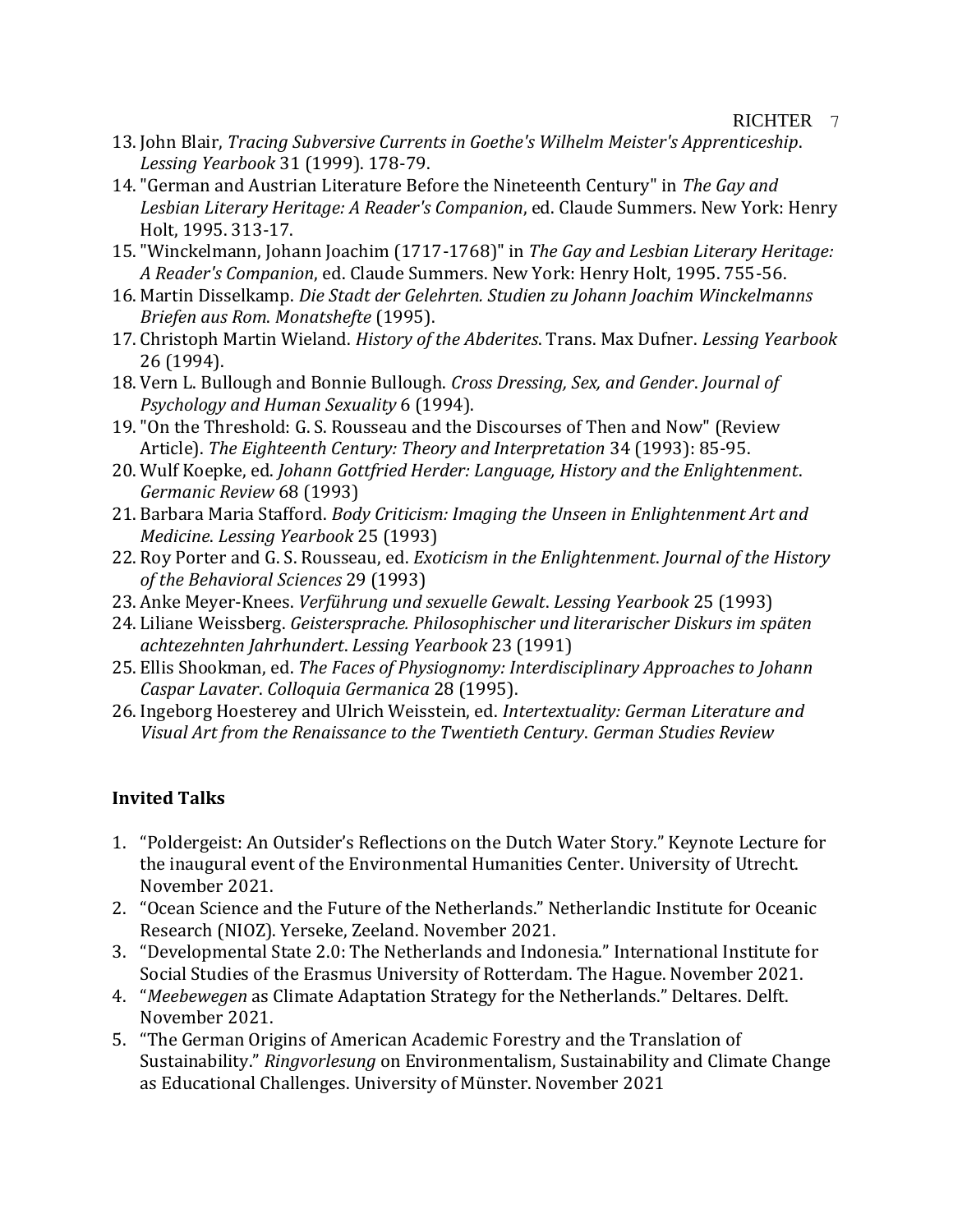- 13. John Blair, *Tracing Subversive Currents in Goethe's Wilhelm Meister's Apprenticeship*. *Lessing Yearbook* 31 (1999). 178-79.
- 14."German and Austrian Literature Before the Nineteenth Century" in *The Gay and Lesbian Literary Heritage: A Reader's Companion*, ed. Claude Summers. New York: Henry Holt, 1995. 313-17.
- 15."Winckelmann, Johann Joachim (1717-1768)" in *The Gay and Lesbian Literary Heritage: A Reader's Companion*, ed. Claude Summers. New York: Henry Holt, 1995. 755-56.
- 16. Martin Disselkamp. *Die Stadt der Gelehrten. Studien zu Johann Joachim Winckelmanns Briefen aus Rom*. *Monatshefte* (1995).
- 17. Christoph Martin Wieland. *History of the Abderites*. Trans. Max Dufner. *Lessing Yearbook* 26 (1994).
- 18. Vern L. Bullough and Bonnie Bullough. *Cross Dressing, Sex, and Gender*. *Journal of Psychology and Human Sexuality* 6 (1994).
- 19."On the Threshold: G. S. Rousseau and the Discourses of Then and Now" (Review Article). *The Eighteenth Century: Theory and Interpretation* 34 (1993): 85-95.
- 20. Wulf Koepke, ed. *Johann Gottfried Herder: Language, History and the Enlightenment*. *Germanic Review* 68 (1993)
- 21. Barbara Maria Stafford. *Body Criticism: Imaging the Unseen in Enlightenment Art and Medicine*. *Lessing Yearbook* 25 (1993)
- 22. Roy Porter and G. S. Rousseau, ed. *Exoticism in the Enlightenment*. *Journal of the History of the Behavioral Sciences* 29 (1993)
- 23. Anke Meyer-Knees. *Verführung und sexuelle Gewalt*. *Lessing Yearbook* 25 (1993)
- 24. Liliane Weissberg. *Geistersprache. Philosophischer und literarischer Diskurs im späten achtezehnten Jahrhundert*. *Lessing Yearbook* 23 (1991)
- 25. Ellis Shookman, ed. *The Faces of Physiognomy: Interdisciplinary Approaches to Johann Caspar Lavater*. *Colloquia Germanica* 28 (1995).
- 26. Ingeborg Hoesterey and Ulrich Weisstein, ed. *Intertextuality: German Literature and Visual Art from the Renaissance to the Twentieth Century*. *German Studies Review*

# **Invited Talks**

- 1. "Poldergeist: An Outsider's Reflections on the Dutch Water Story." Keynote Lecture for the inaugural event of the Environmental Humanities Center. University of Utrecht. November 2021.
- 2. "Ocean Science and the Future of the Netherlands." Netherlandic Institute for Oceanic Research (NIOZ). Yerseke, Zeeland. November 2021.
- 3. "Developmental State 2.0: The Netherlands and Indonesia." International Institute for Social Studies of the Erasmus University of Rotterdam. The Hague. November 2021.
- 4. "*Meebewegen* as Climate Adaptation Strategy for the Netherlands." Deltares. Delft. November 2021.
- 5. "The German Origins of American Academic Forestry and the Translation of Sustainability." *Ringvorlesung* on Environmentalism, Sustainability and Climate Change as Educational Challenges. University of Münster. November 2021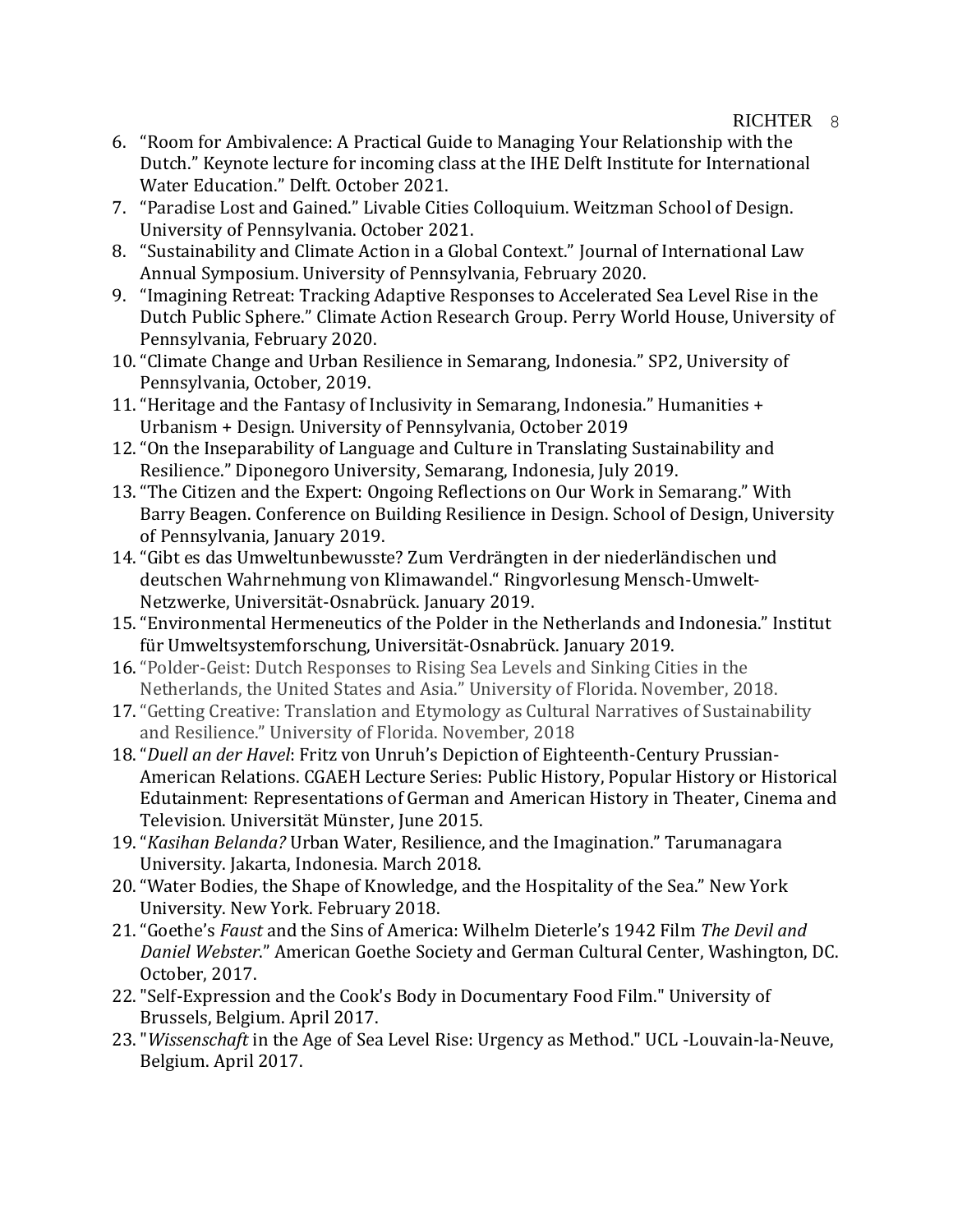## RICHTER 8

- 6. "Room for Ambivalence: A Practical Guide to Managing Your Relationship with the Dutch." Keynote lecture for incoming class at the IHE Delft Institute for International Water Education." Delft. October 2021.
- 7. "Paradise Lost and Gained." Livable Cities Colloquium. Weitzman School of Design. University of Pennsylvania. October 2021.
- 8. "Sustainability and Climate Action in a Global Context." Journal of International Law Annual Symposium. University of Pennsylvania, February 2020.
- 9. "Imagining Retreat: Tracking Adaptive Responses to Accelerated Sea Level Rise in the Dutch Public Sphere." Climate Action Research Group. Perry World House, University of Pennsylvania, February 2020.
- 10."Climate Change and Urban Resilience in Semarang, Indonesia." SP2, University of Pennsylvania, October, 2019.
- 11."Heritage and the Fantasy of Inclusivity in Semarang, Indonesia." Humanities + Urbanism + Design. University of Pennsylvania, October 2019
- 12."On the Inseparability of Language and Culture in Translating Sustainability and Resilience." Diponegoro University, Semarang, Indonesia, July 2019.
- 13."The Citizen and the Expert: Ongoing Reflections on Our Work in Semarang." With Barry Beagen. Conference on Building Resilience in Design. School of Design, University of Pennsylvania, January 2019.
- 14."Gibt es das Umweltunbewusste? Zum Verdrängten in der niederländischen und deutschen Wahrnehmung von Klimawandel." Ringvorlesung Mensch-Umwelt-Netzwerke, Universität-Osnabrück. January 2019.
- 15."Environmental Hermeneutics of the Polder in the Netherlands and Indonesia." Institut für Umweltsystemforschung, Universität-Osnabrück. January 2019.
- 16."Polder-Geist: Dutch Responses to Rising Sea Levels and Sinking Cities in the Netherlands, the United States and Asia." University of Florida. November, 2018.
- 17."Getting Creative: Translation and Etymology as Cultural Narratives of Sustainability and Resilience." University of Florida. November, 2018
- 18."*Duell an der Havel*: Fritz von Unruh's Depiction of Eighteenth-Century Prussian-American Relations. CGAEH Lecture Series: Public History, Popular History or Historical Edutainment: Representations of German and American History in Theater, Cinema and Television. Universität Münster, June 2015.
- 19."*Kasihan Belanda?* Urban Water, Resilience, and the Imagination." Tarumanagara University. Jakarta, Indonesia. March 2018.
- 20."Water Bodies, the Shape of Knowledge, and the Hospitality of the Sea." New York University. New York. February 2018.
- 21."Goethe's *Faust* and the Sins of America: Wilhelm Dieterle's 1942 Film *The Devil and Daniel Webster*." American Goethe Society and German Cultural Center, Washington, DC. October, 2017.
- 22."Self-Expression and the Cook's Body in Documentary Food Film." University of Brussels, Belgium. April 2017.
- 23."*Wissenschaft* in the Age of Sea Level Rise: Urgency as Method." UCL -Louvain-la-Neuve, Belgium. April 2017.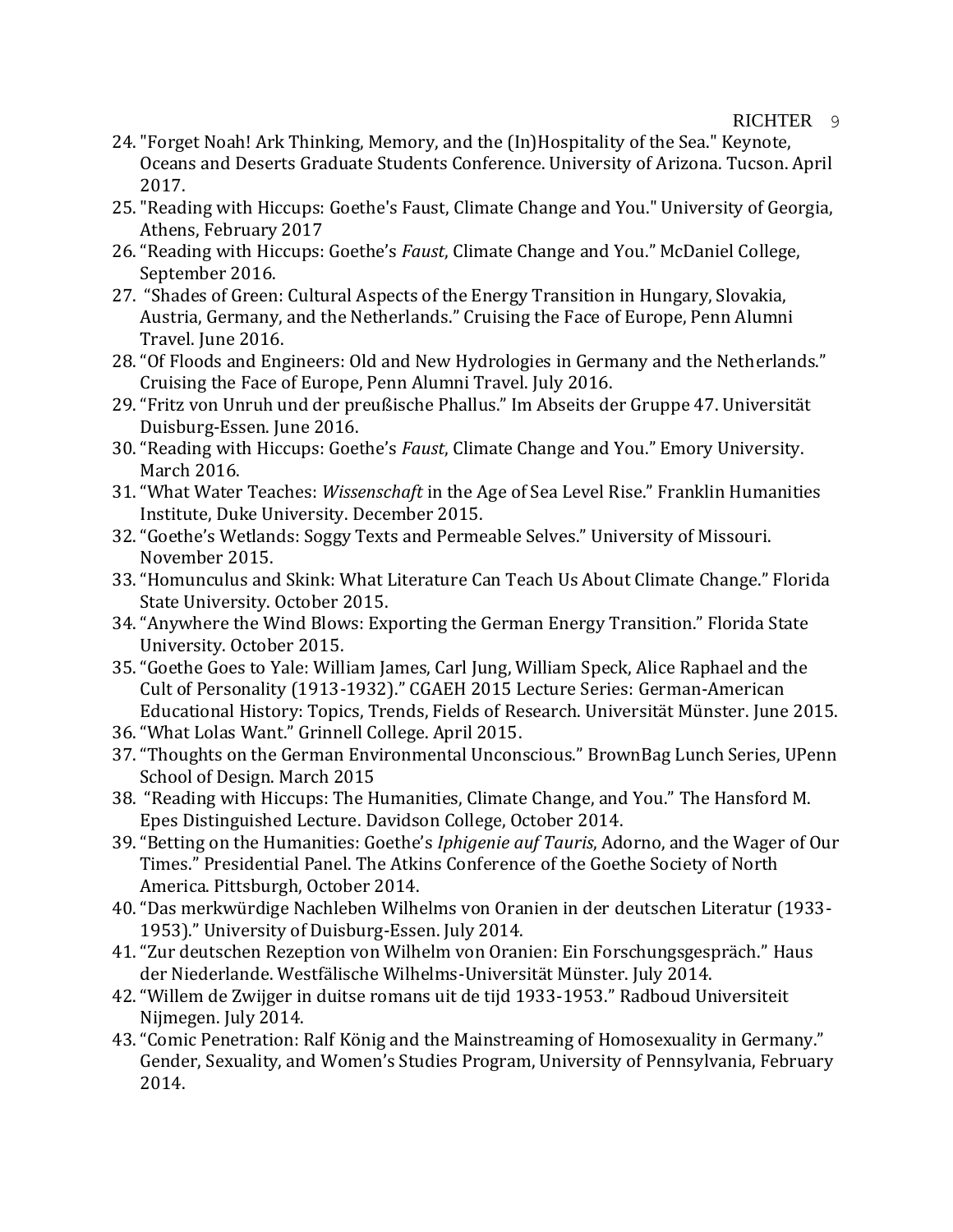## RICHTER<sub>9</sub>

- 24."Forget Noah! Ark Thinking, Memory, and the (In)Hospitality of the Sea." Keynote, Oceans and Deserts Graduate Students Conference. University of Arizona. Tucson. April 2017.
- 25."Reading with Hiccups: Goethe's Faust, Climate Change and You." University of Georgia, Athens, February 2017
- 26."Reading with Hiccups: Goethe's *Faust*, Climate Change and You." McDaniel College, September 2016.
- 27. "Shades of Green: Cultural Aspects of the Energy Transition in Hungary, Slovakia, Austria, Germany, and the Netherlands." Cruising the Face of Europe, Penn Alumni Travel. June 2016.
- 28."Of Floods and Engineers: Old and New Hydrologies in Germany and the Netherlands." Cruising the Face of Europe, Penn Alumni Travel. July 2016.
- 29."Fritz von Unruh und der preußische Phallus." Im Abseits der Gruppe 47. Universität Duisburg-Essen. June 2016.
- 30."Reading with Hiccups: Goethe's *Faust*, Climate Change and You." Emory University. March 2016.
- 31."What Water Teaches: *Wissenschaft* in the Age of Sea Level Rise." Franklin Humanities Institute, Duke University. December 2015.
- 32."Goethe's Wetlands: Soggy Texts and Permeable Selves." University of Missouri. November 2015.
- 33."Homunculus and Skink: What Literature Can Teach Us About Climate Change." Florida State University. October 2015.
- 34."Anywhere the Wind Blows: Exporting the German Energy Transition." Florida State University. October 2015.
- 35."Goethe Goes to Yale: William James, Carl Jung, William Speck, Alice Raphael and the Cult of Personality (1913-1932)." CGAEH 2015 Lecture Series: German-American Educational History: Topics, Trends, Fields of Research. Universität Münster. June 2015.
- 36."What Lolas Want." Grinnell College. April 2015.
- 37."Thoughts on the German Environmental Unconscious." BrownBag Lunch Series, UPenn School of Design. March 2015
- 38. "Reading with Hiccups: The Humanities, Climate Change, and You." The Hansford M. Epes Distinguished Lecture. Davidson College, October 2014.
- 39."Betting on the Humanities: Goethe's *Iphigenie auf Tauris*, Adorno, and the Wager of Our Times." Presidential Panel. The Atkins Conference of the Goethe Society of North America. Pittsburgh, October 2014.
- 40."Das merkwürdige Nachleben Wilhelms von Oranien in der deutschen Literatur (1933- 1953)." University of Duisburg-Essen. July 2014.
- 41."Zur deutschen Rezeption von Wilhelm von Oranien: Ein Forschungsgespräch." Haus der Niederlande. Westfälische Wilhelms-Universität Münster. July 2014.
- 42."Willem de Zwijger in duitse romans uit de tijd 1933-1953." Radboud Universiteit Nijmegen. July 2014.
- 43."Comic Penetration: Ralf König and the Mainstreaming of Homosexuality in Germany." Gender, Sexuality, and Women's Studies Program, University of Pennsylvania, February 2014.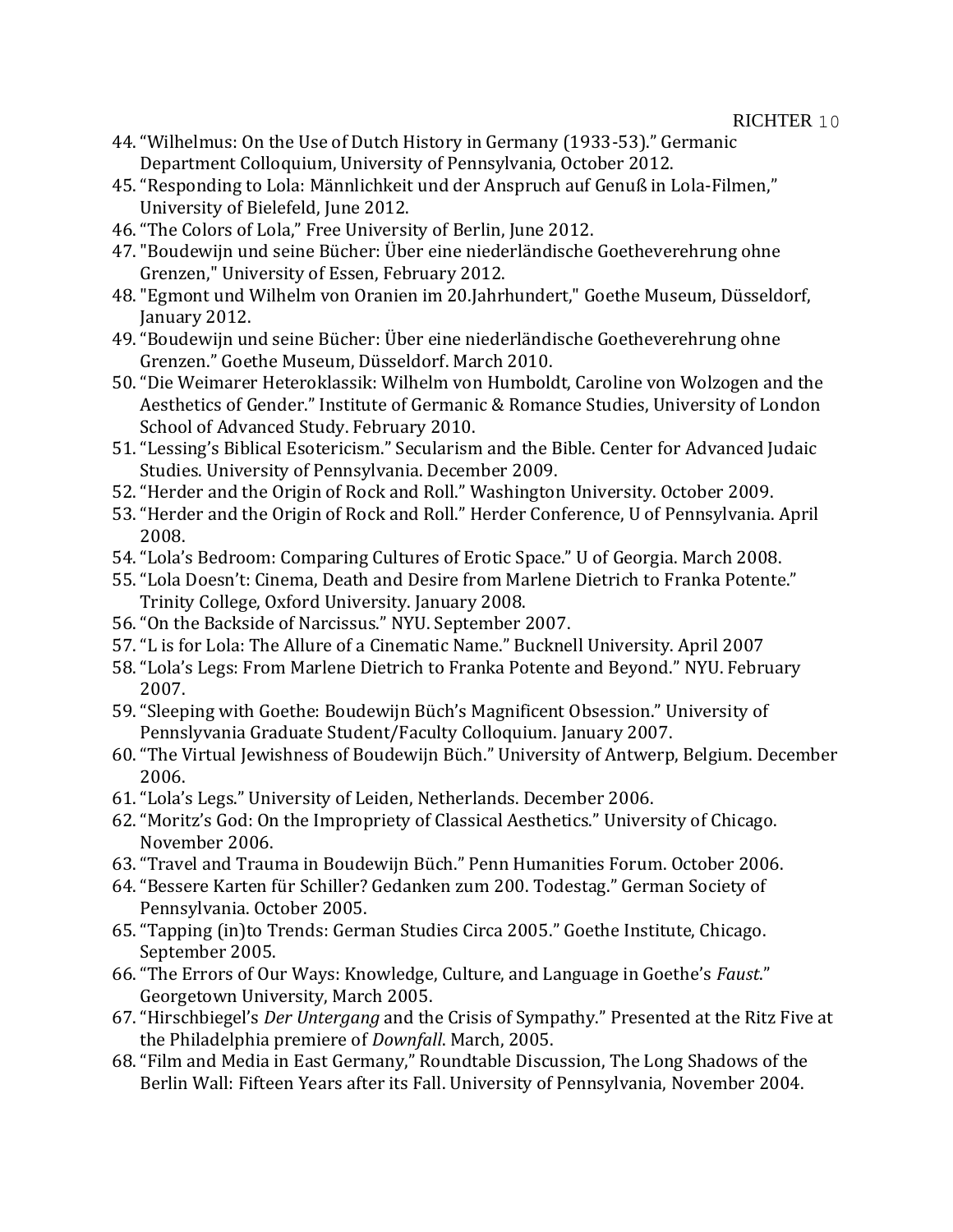- 44."Wilhelmus: On the Use of Dutch History in Germany (1933-53)." Germanic Department Colloquium, University of Pennsylvania, October 2012.
- 45."Responding to Lola: Männlichkeit und der Anspruch auf Genuß in Lola-Filmen," University of Bielefeld, June 2012.
- 46."The Colors of Lola," Free University of Berlin, June 2012.
- 47."Boudewijn und seine Bücher: Über eine niederländische Goetheverehrung ohne Grenzen," University of Essen, February 2012.
- 48."Egmont und Wilhelm von Oranien im 20.Jahrhundert," Goethe Museum, Düsseldorf, January 2012.
- 49."Boudewijn und seine Bücher: Über eine niederländische Goetheverehrung ohne Grenzen." Goethe Museum, Düsseldorf. March 2010.
- 50."Die Weimarer Heteroklassik: Wilhelm von Humboldt, Caroline von Wolzogen and the Aesthetics of Gender." Institute of Germanic & Romance Studies, University of London School of Advanced Study. February 2010.
- 51."Lessing's Biblical Esotericism." Secularism and the Bible. Center for Advanced Judaic Studies. University of Pennsylvania. December 2009.
- 52."Herder and the Origin of Rock and Roll." Washington University. October 2009.
- 53."Herder and the Origin of Rock and Roll." Herder Conference, U of Pennsylvania. April 2008.
- 54."Lola's Bedroom: Comparing Cultures of Erotic Space." U of Georgia. March 2008.
- 55."Lola Doesn't: Cinema, Death and Desire from Marlene Dietrich to Franka Potente." Trinity College, Oxford University. January 2008.
- 56."On the Backside of Narcissus." NYU. September 2007.
- 57."L is for Lola: The Allure of a Cinematic Name." Bucknell University. April 2007
- 58."Lola's Legs: From Marlene Dietrich to Franka Potente and Beyond." NYU. February 2007.
- 59."Sleeping with Goethe: Boudewijn Büch's Magnificent Obsession." University of Pennslyvania Graduate Student/Faculty Colloquium. January 2007.
- 60."The Virtual Jewishness of Boudewijn Büch." University of Antwerp, Belgium. December 2006.
- 61."Lola's Legs." University of Leiden, Netherlands. December 2006.
- 62."Moritz's God: On the Impropriety of Classical Aesthetics." University of Chicago. November 2006.
- 63."Travel and Trauma in Boudewijn Büch." Penn Humanities Forum. October 2006.
- 64."Bessere Karten für Schiller? Gedanken zum 200. Todestag." German Society of Pennsylvania. October 2005.
- 65."Tapping (in)to Trends: German Studies Circa 2005." Goethe Institute, Chicago. September 2005.
- 66."The Errors of Our Ways: Knowledge, Culture, and Language in Goethe's *Faust*." Georgetown University, March 2005.
- 67."Hirschbiegel's *Der Untergang* and the Crisis of Sympathy." Presented at the Ritz Five at the Philadelphia premiere of *Downfall*. March, 2005.
- 68."Film and Media in East Germany," Roundtable Discussion, The Long Shadows of the Berlin Wall: Fifteen Years after its Fall. University of Pennsylvania, November 2004.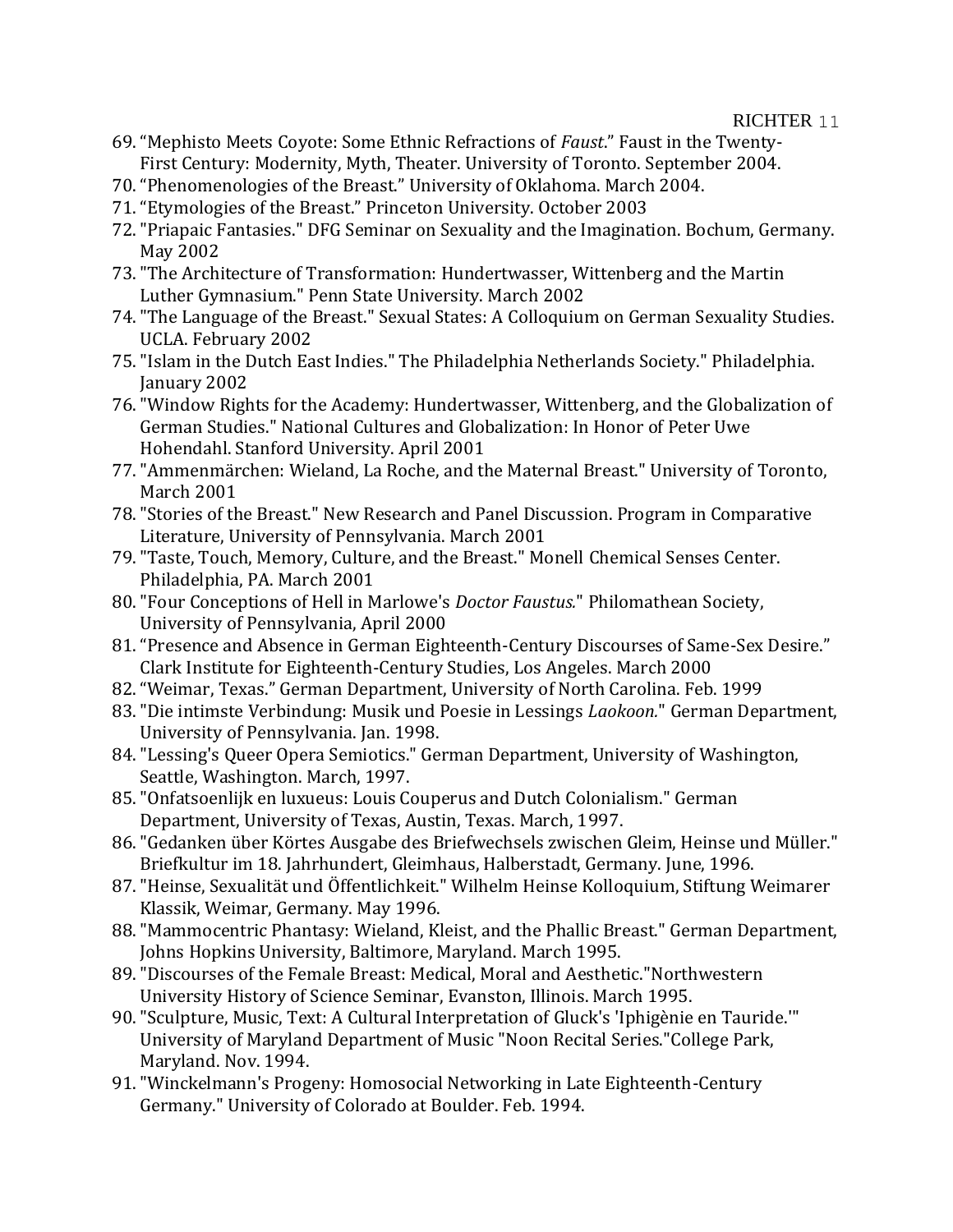- 69."Mephisto Meets Coyote: Some Ethnic Refractions of *Faust*." Faust in the Twenty-First Century: Modernity, Myth, Theater. University of Toronto. September 2004.
- 70."Phenomenologies of the Breast." University of Oklahoma. March 2004.
- 71."Etymologies of the Breast." Princeton University. October 2003
- 72."Priapaic Fantasies." DFG Seminar on Sexuality and the Imagination. Bochum, Germany. May 2002
- 73."The Architecture of Transformation: Hundertwasser, Wittenberg and the Martin Luther Gymnasium." Penn State University. March 2002
- 74."The Language of the Breast." Sexual States: A Colloquium on German Sexuality Studies. UCLA. February 2002
- 75."Islam in the Dutch East Indies." The Philadelphia Netherlands Society." Philadelphia. January 2002
- 76."Window Rights for the Academy: Hundertwasser, Wittenberg, and the Globalization of German Studies." National Cultures and Globalization: In Honor of Peter Uwe Hohendahl. Stanford University. April 2001
- 77."Ammenmärchen: Wieland, La Roche, and the Maternal Breast." University of Toronto, March 2001
- 78."Stories of the Breast." New Research and Panel Discussion. Program in Comparative Literature, University of Pennsylvania. March 2001
- 79."Taste, Touch, Memory, Culture, and the Breast." Monell Chemical Senses Center. Philadelphia, PA. March 2001
- 80."Four Conceptions of Hell in Marlowe's *Doctor Faustus.*" Philomathean Society, University of Pennsylvania, April 2000
- 81."Presence and Absence in German Eighteenth-Century Discourses of Same-Sex Desire." Clark Institute for Eighteenth-Century Studies, Los Angeles. March 2000
- 82."Weimar, Texas." German Department, University of North Carolina. Feb. 1999
- 83."Die intimste Verbindung: Musik und Poesie in Lessings *Laokoon.*" German Department, University of Pennsylvania. Jan. 1998.
- 84."Lessing's Queer Opera Semiotics." German Department, University of Washington, Seattle, Washington. March, 1997.
- 85."Onfatsoenlijk en luxueus: Louis Couperus and Dutch Colonialism." German Department, University of Texas, Austin, Texas. March, 1997.
- 86."Gedanken über Körtes Ausgabe des Briefwechsels zwischen Gleim, Heinse und Müller." Briefkultur im 18. Jahrhundert, Gleimhaus, Halberstadt, Germany. June, 1996.
- 87."Heinse, Sexualität und Öffentlichkeit." Wilhelm Heinse Kolloquium, Stiftung Weimarer Klassik, Weimar, Germany. May 1996.
- 88."Mammocentric Phantasy: Wieland, Kleist, and the Phallic Breast." German Department, Johns Hopkins University, Baltimore, Maryland. March 1995.
- 89."Discourses of the Female Breast: Medical, Moral and Aesthetic."Northwestern University History of Science Seminar, Evanston, Illinois. March 1995.
- 90."Sculpture, Music, Text: A Cultural Interpretation of Gluck's 'Iphigènie en Tauride.'" University of Maryland Department of Music "Noon Recital Series."College Park, Maryland. Nov. 1994.
- 91."Winckelmann's Progeny: Homosocial Networking in Late Eighteenth-Century Germany." University of Colorado at Boulder. Feb. 1994.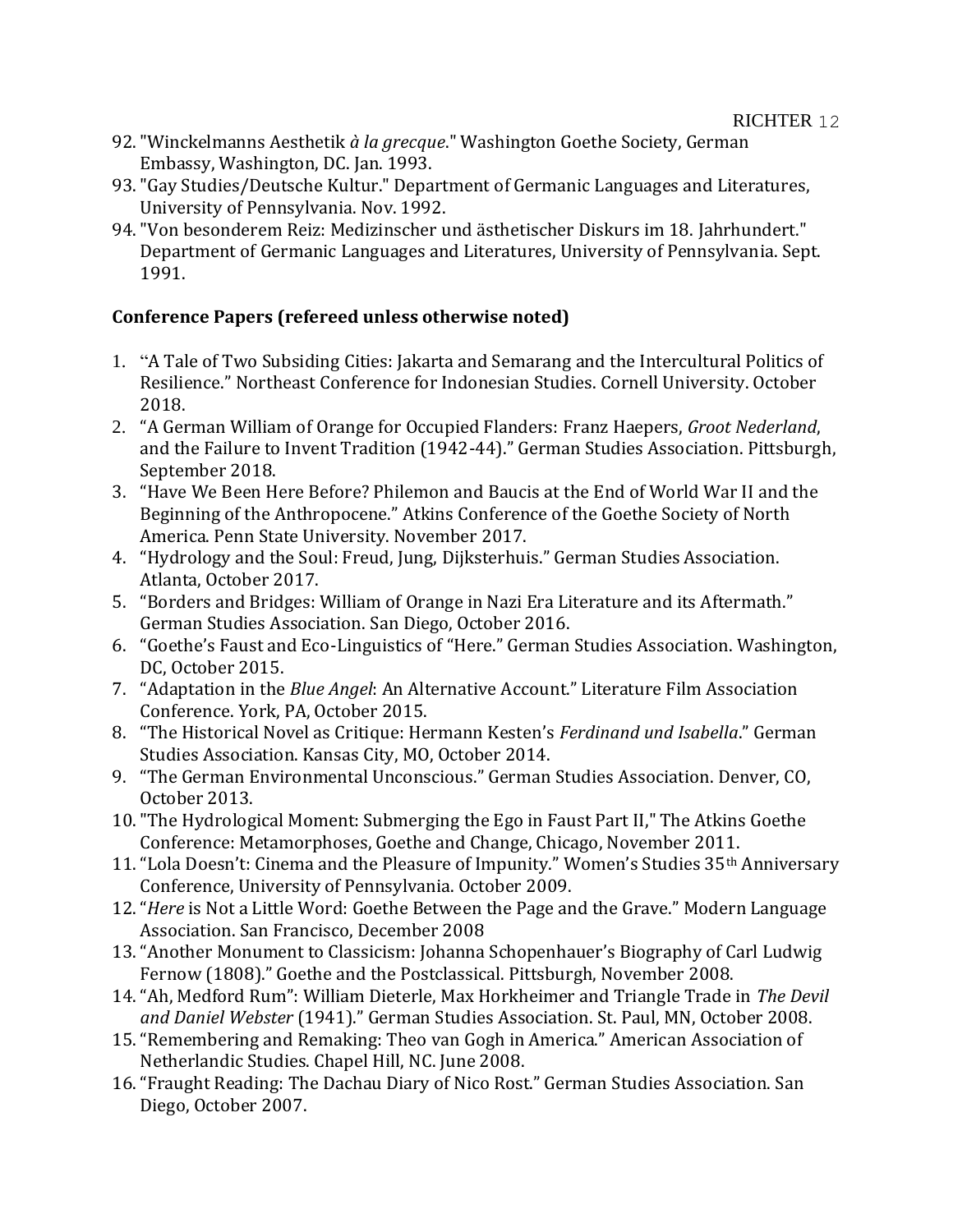- 92."Winckelmanns Aesthetik *à la grecque*." Washington Goethe Society, German Embassy, Washington, DC. Jan. 1993.
- 93."Gay Studies/Deutsche Kultur." Department of Germanic Languages and Literatures, University of Pennsylvania. Nov. 1992.
- 94."Von besonderem Reiz: Medizinscher und ästhetischer Diskurs im 18. Jahrhundert." Department of Germanic Languages and Literatures, University of Pennsylvania. Sept. 1991.

# **Conference Papers (refereed unless otherwise noted)**

- 1. "A Tale of Two Subsiding Cities: Jakarta and Semarang and the Intercultural Politics of Resilience." Northeast Conference for Indonesian Studies. Cornell University. October 2018.
- 2. "A German William of Orange for Occupied Flanders: Franz Haepers, *Groot Nederland*, and the Failure to Invent Tradition (1942-44)." German Studies Association. Pittsburgh, September 2018.
- 3. "Have We Been Here Before? Philemon and Baucis at the End of World War II and the Beginning of the Anthropocene." Atkins Conference of the Goethe Society of North America. Penn State University. November 2017.
- 4. "Hydrology and the Soul: Freud, Jung, Dijksterhuis." German Studies Association. Atlanta, October 2017.
- 5. "Borders and Bridges: William of Orange in Nazi Era Literature and its Aftermath." German Studies Association. San Diego, October 2016.
- 6. "Goethe's Faust and Eco-Linguistics of "Here." German Studies Association. Washington, DC, October 2015.
- 7. "Adaptation in the *Blue Angel*: An Alternative Account." Literature Film Association Conference. York, PA, October 2015.
- 8. "The Historical Novel as Critique: Hermann Kesten's *Ferdinand und Isabella*." German Studies Association. Kansas City, MO, October 2014.
- 9. "The German Environmental Unconscious." German Studies Association. Denver, CO, October 2013.
- 10."The Hydrological Moment: Submerging the Ego in Faust Part II," The Atkins Goethe Conference: Metamorphoses, Goethe and Change, Chicago, November 2011.
- 11. "Lola Doesn't: Cinema and the Pleasure of Impunity." Women's Studies 35<sup>th</sup> Anniversary Conference, University of Pennsylvania. October 2009.
- 12."*Here* is Not a Little Word: Goethe Between the Page and the Grave." Modern Language Association. San Francisco, December 2008
- 13."Another Monument to Classicism: Johanna Schopenhauer's Biography of Carl Ludwig Fernow (1808)." Goethe and the Postclassical. Pittsburgh, November 2008.
- 14."Ah, Medford Rum": William Dieterle, Max Horkheimer and Triangle Trade in *The Devil and Daniel Webster* (1941)." German Studies Association. St. Paul, MN, October 2008.
- 15."Remembering and Remaking: Theo van Gogh in America." American Association of Netherlandic Studies. Chapel Hill, NC. June 2008.
- 16."Fraught Reading: The Dachau Diary of Nico Rost." German Studies Association. San Diego, October 2007.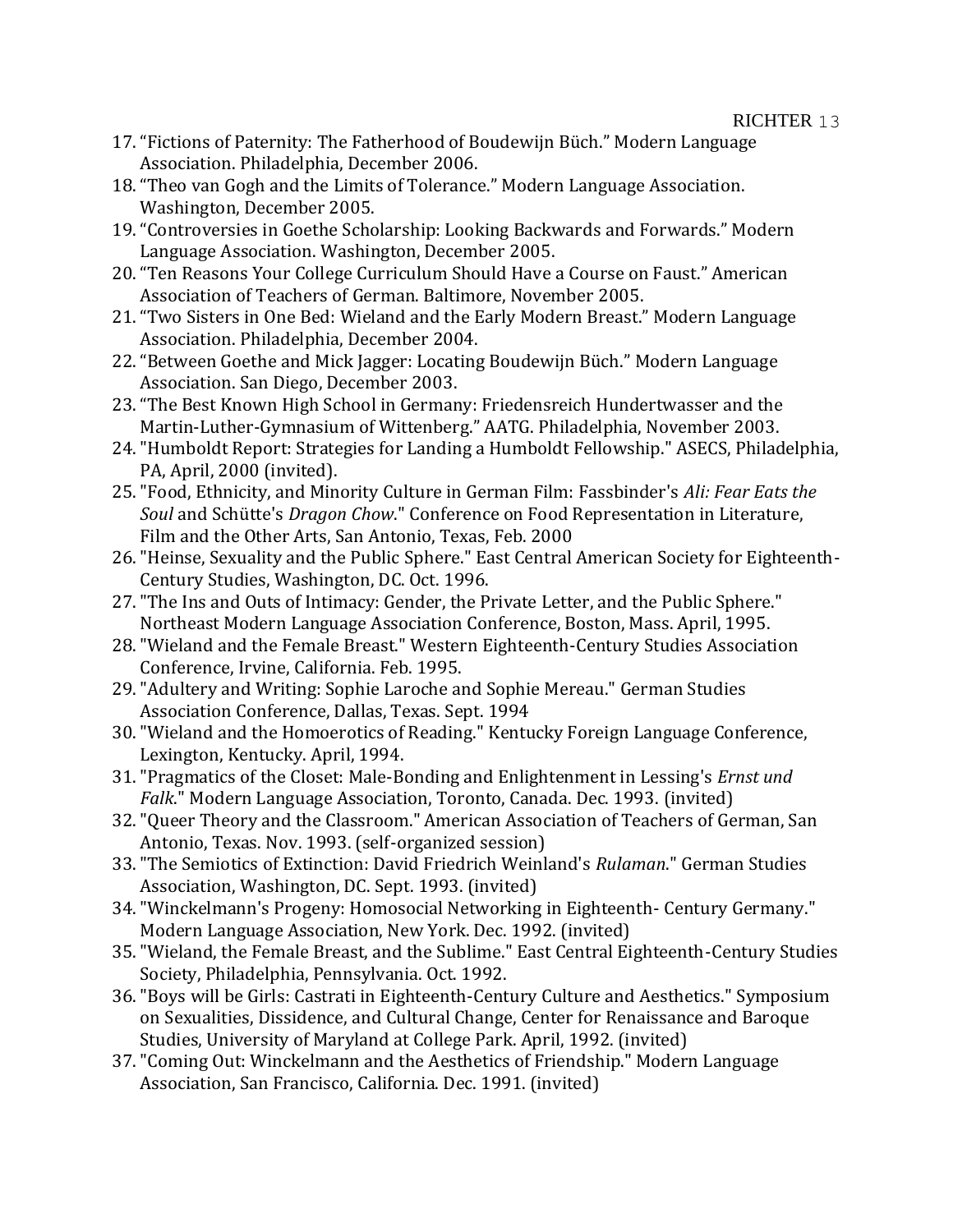- 17."Fictions of Paternity: The Fatherhood of Boudewijn Büch." Modern Language Association. Philadelphia, December 2006.
- 18."Theo van Gogh and the Limits of Tolerance." Modern Language Association. Washington, December 2005.
- 19."Controversies in Goethe Scholarship: Looking Backwards and Forwards." Modern Language Association. Washington, December 2005.
- 20."Ten Reasons Your College Curriculum Should Have a Course on Faust." American Association of Teachers of German. Baltimore, November 2005.
- 21."Two Sisters in One Bed: Wieland and the Early Modern Breast." Modern Language Association. Philadelphia, December 2004.
- 22."Between Goethe and Mick Jagger: Locating Boudewijn Büch." Modern Language Association. San Diego, December 2003.
- 23."The Best Known High School in Germany: Friedensreich Hundertwasser and the Martin-Luther-Gymnasium of Wittenberg." AATG. Philadelphia, November 2003.
- 24."Humboldt Report: Strategies for Landing a Humboldt Fellowship." ASECS, Philadelphia, PA, April, 2000 (invited).
- 25."Food, Ethnicity, and Minority Culture in German Film: Fassbinder's *Ali: Fear Eats the Soul* and Schütte's *Dragon Chow*." Conference on Food Representation in Literature, Film and the Other Arts, San Antonio, Texas, Feb. 2000
- 26."Heinse, Sexuality and the Public Sphere." East Central American Society for Eighteenth-Century Studies, Washington, DC. Oct. 1996.
- 27."The Ins and Outs of Intimacy: Gender, the Private Letter, and the Public Sphere." Northeast Modern Language Association Conference, Boston, Mass. April, 1995.
- 28."Wieland and the Female Breast." Western Eighteenth-Century Studies Association Conference, Irvine, California. Feb. 1995.
- 29."Adultery and Writing: Sophie Laroche and Sophie Mereau." German Studies Association Conference, Dallas, Texas. Sept. 1994
- 30."Wieland and the Homoerotics of Reading." Kentucky Foreign Language Conference, Lexington, Kentucky. April, 1994.
- 31."Pragmatics of the Closet: Male-Bonding and Enlightenment in Lessing's *Ernst und Falk*." Modern Language Association, Toronto, Canada. Dec. 1993. (invited)
- 32."Queer Theory and the Classroom." American Association of Teachers of German, San Antonio, Texas. Nov. 1993. (self-organized session)
- 33."The Semiotics of Extinction: David Friedrich Weinland's *Rulaman*." German Studies Association, Washington, DC. Sept. 1993. (invited)
- 34."Winckelmann's Progeny: Homosocial Networking in Eighteenth- Century Germany." Modern Language Association, New York. Dec. 1992. (invited)
- 35."Wieland, the Female Breast, and the Sublime." East Central Eighteenth-Century Studies Society, Philadelphia, Pennsylvania. Oct. 1992.
- 36."Boys will be Girls: Castrati in Eighteenth-Century Culture and Aesthetics." Symposium on Sexualities, Dissidence, and Cultural Change, Center for Renaissance and Baroque Studies, University of Maryland at College Park. April, 1992. (invited)
- 37."Coming Out: Winckelmann and the Aesthetics of Friendship." Modern Language Association, San Francisco, California. Dec. 1991. (invited)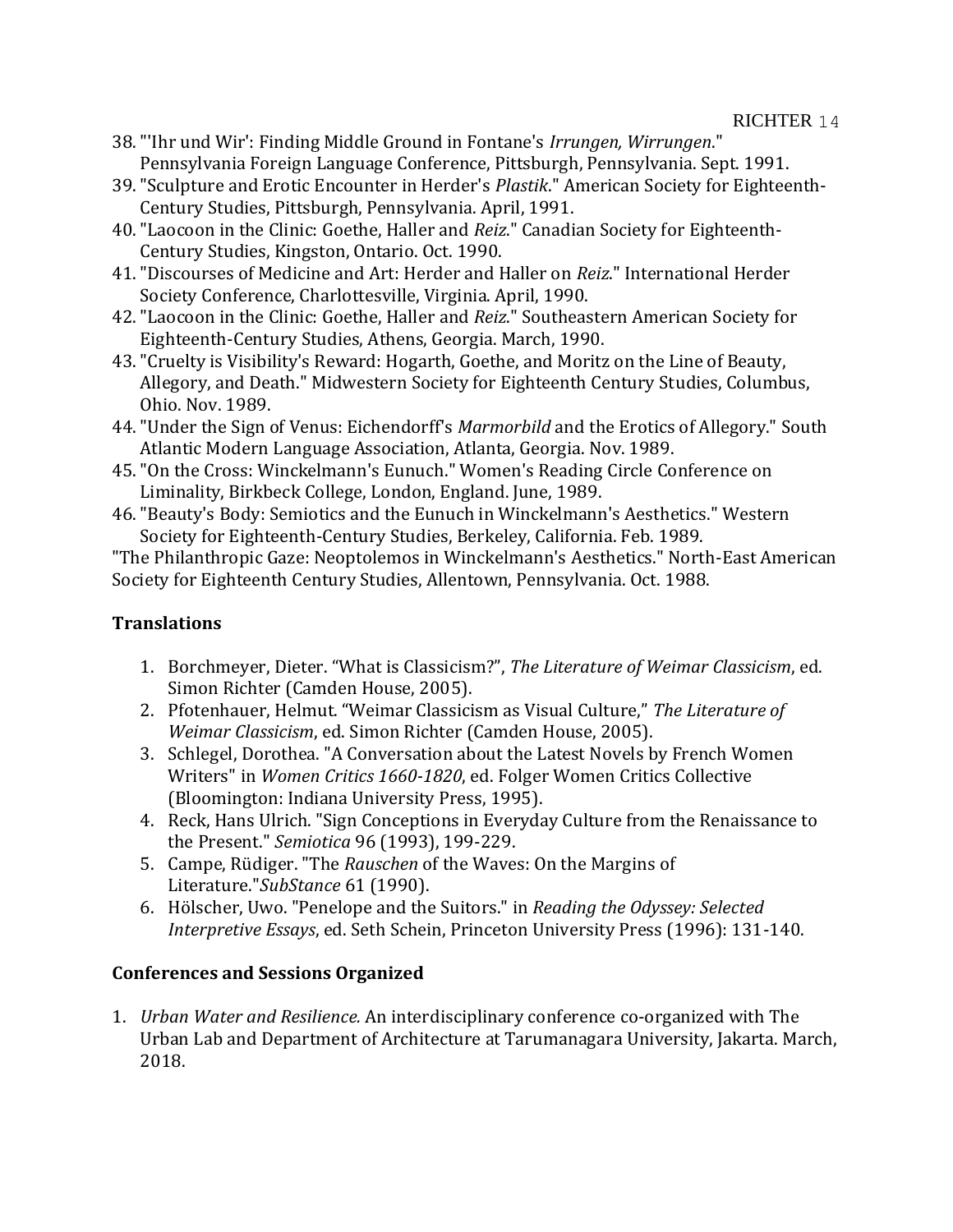RICHTER 14

- 38."'Ihr und Wir': Finding Middle Ground in Fontane's *Irrungen, Wirrungen*." Pennsylvania Foreign Language Conference, Pittsburgh, Pennsylvania. Sept. 1991.
- 39."Sculpture and Erotic Encounter in Herder's *Plastik*." American Society for Eighteenth-Century Studies, Pittsburgh, Pennsylvania. April, 1991.
- 40."Laocoon in the Clinic: Goethe, Haller and *Reiz*." Canadian Society for Eighteenth-Century Studies, Kingston, Ontario. Oct. 1990.
- 41."Discourses of Medicine and Art: Herder and Haller on *Reiz*." International Herder Society Conference, Charlottesville, Virginia. April, 1990.
- 42."Laocoon in the Clinic: Goethe, Haller and *Reiz*." Southeastern American Society for Eighteenth-Century Studies, Athens, Georgia. March, 1990.
- 43."Cruelty is Visibility's Reward: Hogarth, Goethe, and Moritz on the Line of Beauty, Allegory, and Death." Midwestern Society for Eighteenth Century Studies, Columbus, Ohio. Nov. 1989.
- 44."Under the Sign of Venus: Eichendorff's *Marmorbild* and the Erotics of Allegory." South Atlantic Modern Language Association, Atlanta, Georgia. Nov. 1989.
- 45."On the Cross: Winckelmann's Eunuch." Women's Reading Circle Conference on Liminality, Birkbeck College, London, England. June, 1989.
- 46."Beauty's Body: Semiotics and the Eunuch in Winckelmann's Aesthetics." Western Society for Eighteenth-Century Studies, Berkeley, California. Feb. 1989.

"The Philanthropic Gaze: Neoptolemos in Winckelmann's Aesthetics." North-East American Society for Eighteenth Century Studies, Allentown, Pennsylvania. Oct. 1988.

# **Translations**

- 1. Borchmeyer, Dieter. "What is Classicism?", *The Literature of Weimar Classicism*, ed. Simon Richter (Camden House, 2005).
- 2. Pfotenhauer, Helmut. "Weimar Classicism as Visual Culture," *The Literature of Weimar Classicism*, ed. Simon Richter (Camden House, 2005).
- 3. Schlegel, Dorothea. "A Conversation about the Latest Novels by French Women Writers" in *Women Critics 1660-1820*, ed. Folger Women Critics Collective (Bloomington: Indiana University Press, 1995).
- 4. Reck, Hans Ulrich. "Sign Conceptions in Everyday Culture from the Renaissance to the Present." *Semiotica* 96 (1993), 199-229.
- 5. Campe, Rüdiger. "The *Rauschen* of the Waves: On the Margins of Literature."*SubStance* 61 (1990).
- 6. Hölscher, Uwo. "Penelope and the Suitors." in *Reading the Odyssey: Selected Interpretive Essays*, ed. Seth Schein, Princeton University Press (1996): 131-140.

# **Conferences and Sessions Organized**

1. *Urban Water and Resilience.* An interdisciplinary conference co-organized with The Urban Lab and Department of Architecture at Tarumanagara University, Jakarta. March, 2018.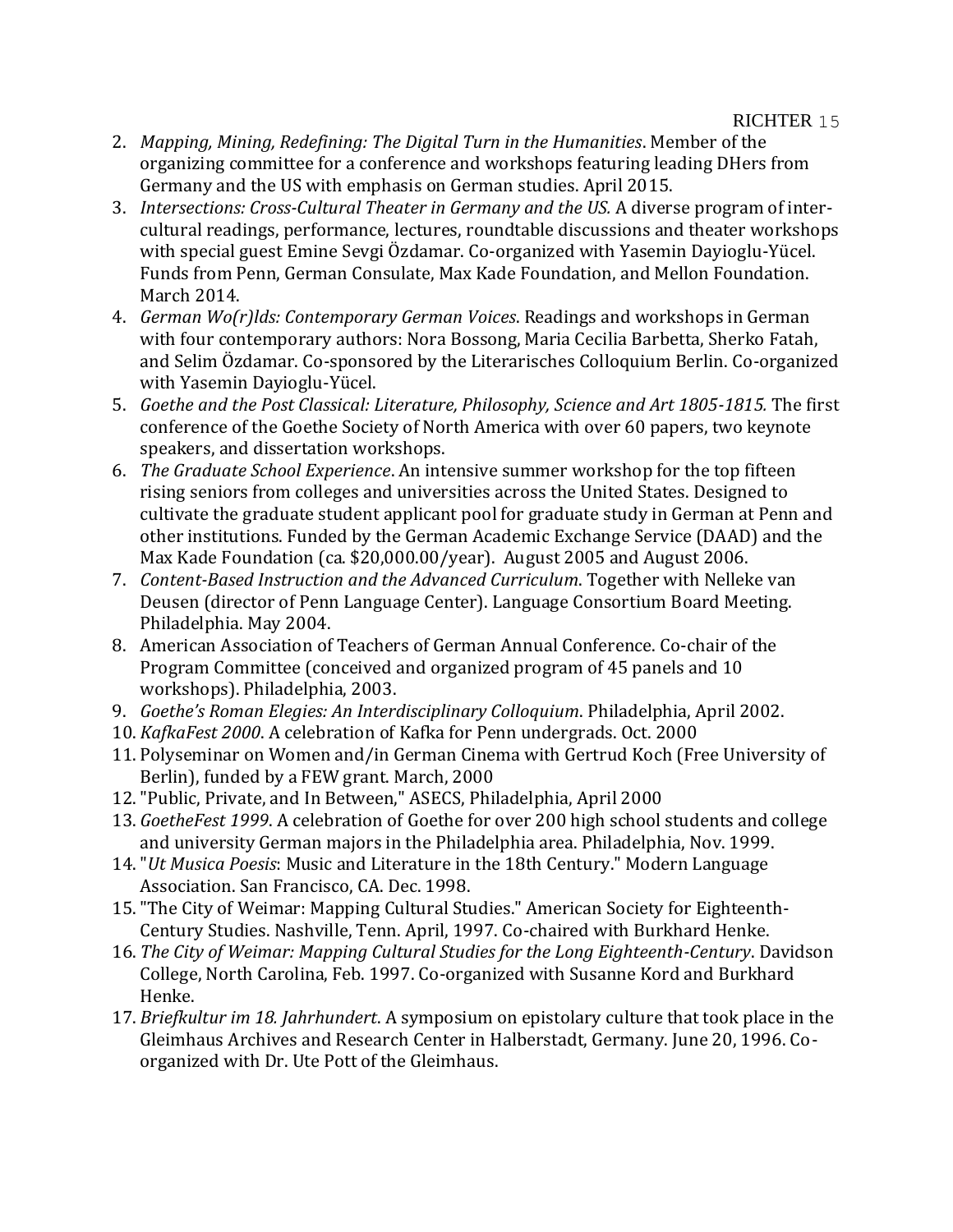- 2. *Mapping, Mining, Redefining: The Digital Turn in the Humanities*. Member of the organizing committee for a conference and workshops featuring leading DHers from Germany and the US with emphasis on German studies. April 2015.
- 3. *Intersections: Cross-Cultural Theater in Germany and the US.* A diverse program of intercultural readings, performance, lectures, roundtable discussions and theater workshops with special guest Emine Sevgi Özdamar. Co-organized with Yasemin Dayioglu-Yücel. Funds from Penn, German Consulate, Max Kade Foundation, and Mellon Foundation. March 2014.
- 4. *German Wo(r)lds: Contemporary German Voices*. Readings and workshops in German with four contemporary authors: Nora Bossong, Maria Cecilia Barbetta, Sherko Fatah, and Selim Özdamar. Co-sponsored by the Literarisches Colloquium Berlin. Co-organized with Yasemin Dayioglu-Yücel.
- 5. *Goethe and the Post Classical: Literature, Philosophy, Science and Art 1805-1815.* The first conference of the Goethe Society of North America with over 60 papers, two keynote speakers, and dissertation workshops.
- 6. *The Graduate School Experience*. An intensive summer workshop for the top fifteen rising seniors from colleges and universities across the United States. Designed to cultivate the graduate student applicant pool for graduate study in German at Penn and other institutions. Funded by the German Academic Exchange Service (DAAD) and the Max Kade Foundation (ca. \$20,000.00/year). August 2005 and August 2006.
- 7. *Content-Based Instruction and the Advanced Curriculum*. Together with Nelleke van Deusen (director of Penn Language Center). Language Consortium Board Meeting. Philadelphia. May 2004.
- 8. American Association of Teachers of German Annual Conference. Co-chair of the Program Committee (conceived and organized program of 45 panels and 10 workshops). Philadelphia, 2003.
- 9. *Goethe's Roman Elegies: An Interdisciplinary Colloquium*. Philadelphia, April 2002.
- 10. *KafkaFest 2000*. A celebration of Kafka for Penn undergrads. Oct. 2000
- 11. Polyseminar on Women and/in German Cinema with Gertrud Koch (Free University of Berlin), funded by a FEW grant. March, 2000
- 12."Public, Private, and In Between," ASECS, Philadelphia, April 2000
- 13. *GoetheFest 1999*. A celebration of Goethe for over 200 high school students and college and university German majors in the Philadelphia area. Philadelphia, Nov. 1999.
- 14."*Ut Musica Poesis*: Music and Literature in the 18th Century." Modern Language Association. San Francisco, CA. Dec. 1998.
- 15."The City of Weimar: Mapping Cultural Studies." American Society for Eighteenth-Century Studies. Nashville, Tenn. April, 1997. Co-chaired with Burkhard Henke.
- 16. *The City of Weimar: Mapping Cultural Studies for the Long Eighteenth-Century*. Davidson College, North Carolina, Feb. 1997. Co-organized with Susanne Kord and Burkhard Henke.
- 17. *Briefkultur im 18. Jahrhundert*. A symposium on epistolary culture that took place in the Gleimhaus Archives and Research Center in Halberstadt, Germany. June 20, 1996. Coorganized with Dr. Ute Pott of the Gleimhaus.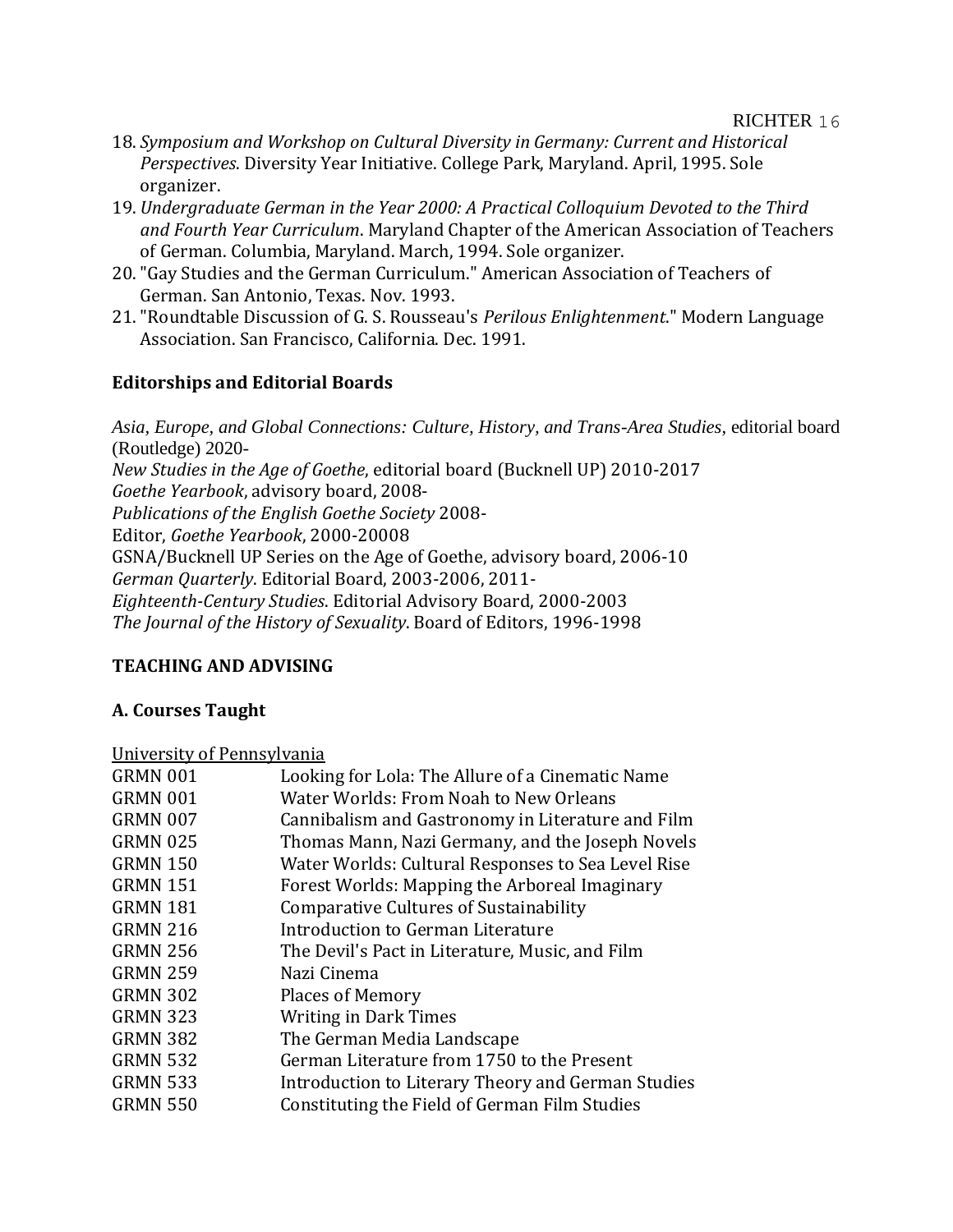- 18. *Symposium and Workshop on Cultural Diversity in Germany: Current and Historical Perspectives*. Diversity Year Initiative. College Park, Maryland. April, 1995. Sole organizer.
- 19. *Undergraduate German in the Year 2000: A Practical Colloquium Devoted to the Third and Fourth Year Curriculum*. Maryland Chapter of the American Association of Teachers of German. Columbia, Maryland. March, 1994. Sole organizer.
- 20."Gay Studies and the German Curriculum." American Association of Teachers of German. San Antonio, Texas. Nov. 1993.
- 21."Roundtable Discussion of G. S. Rousseau's *Perilous Enlightenment*." Modern Language Association. San Francisco, California. Dec. 1991.

# **Editorships and Editorial Boards**

*Asia, Europe, and Global Connections: Culture, History, and Trans-Area Studies*, editorial board (Routledge) 2020- *New Studies in the Age of Goethe*, editorial board (Bucknell UP) 2010-2017 *Goethe Yearbook*, advisory board, 2008- *Publications of the English Goethe Society* 2008- Editor, *Goethe Yearbook*, 2000-20008 GSNA/Bucknell UP Series on the Age of Goethe, advisory board, 2006-10 *German Quarterly*. Editorial Board, 2003-2006, 2011- *Eighteenth-Century Studies*. Editorial Advisory Board, 2000-2003 *The Journal of the History of Sexuality*. Board of Editors, 1996-1998

# **TEACHING AND ADVISING**

# **A. Courses Taught**

# University of Pennsylvania

| GRMN 001        | Looking for Lola: The Allure of a Cinematic Name   |
|-----------------|----------------------------------------------------|
| GRMN 001        | Water Worlds: From Noah to New Orleans             |
| GRMN 007        | Cannibalism and Gastronomy in Literature and Film  |
| <b>GRMN 025</b> | Thomas Mann, Nazi Germany, and the Joseph Novels   |
| <b>GRMN 150</b> | Water Worlds: Cultural Responses to Sea Level Rise |
| <b>GRMN 151</b> | Forest Worlds: Mapping the Arboreal Imaginary      |
| <b>GRMN 181</b> | <b>Comparative Cultures of Sustainability</b>      |
| <b>GRMN 216</b> | Introduction to German Literature                  |
| <b>GRMN 256</b> | The Devil's Pact in Literature, Music, and Film    |
| <b>GRMN 259</b> | Nazi Cinema                                        |
| <b>GRMN 302</b> | <b>Places of Memory</b>                            |
| <b>GRMN 323</b> | <b>Writing in Dark Times</b>                       |
| <b>GRMN 382</b> | The German Media Landscape                         |
| <b>GRMN 532</b> | German Literature from 1750 to the Present         |
| <b>GRMN 533</b> | Introduction to Literary Theory and German Studies |
| <b>GRMN 550</b> | Constituting the Field of German Film Studies      |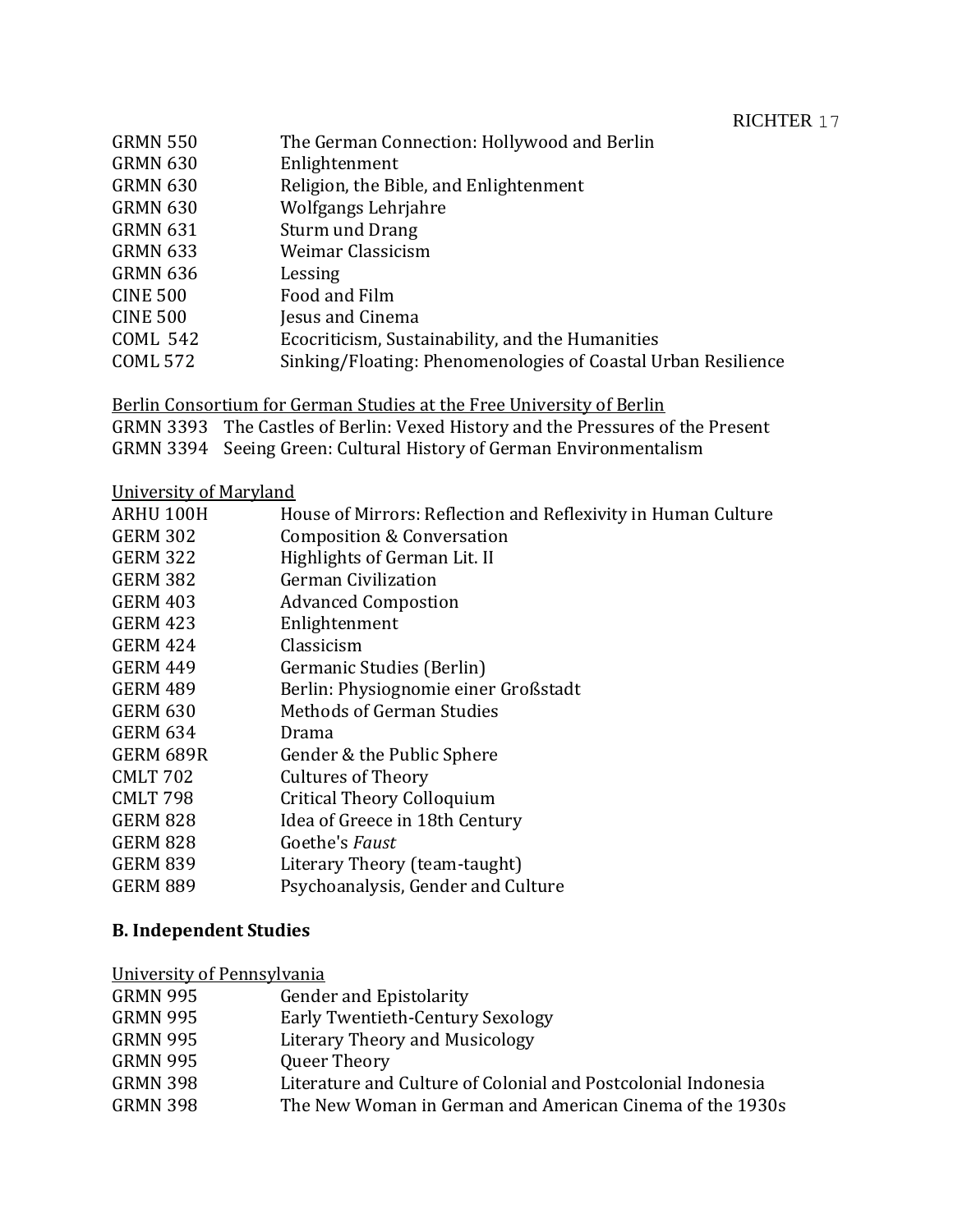| RICHTER |  |
|---------|--|
|---------|--|

| <b>GRMN 550</b> | The German Connection: Hollywood and Berlin                   |
|-----------------|---------------------------------------------------------------|
| <b>GRMN 630</b> | Enlightenment                                                 |
| <b>GRMN 630</b> | Religion, the Bible, and Enlightenment                        |
| <b>GRMN 630</b> | Wolfgangs Lehrjahre                                           |
| <b>GRMN 631</b> | Sturm und Drang                                               |
| <b>GRMN 633</b> | Weimar Classicism                                             |
| <b>GRMN 636</b> | Lessing                                                       |
| <b>CINE 500</b> | Food and Film                                                 |
| <b>CINE 500</b> | Jesus and Cinema                                              |
| <b>COML 542</b> | Ecocriticism, Sustainability, and the Humanities              |
| <b>COML 572</b> | Sinking/Floating: Phenomenologies of Coastal Urban Resilience |
|                 |                                                               |

Berlin Consortium for German Studies at the Free University of Berlin

GRMN 3393 The Castles of Berlin: Vexed History and the Pressures of the Present

GRMN 3394 Seeing Green: Cultural History of German Environmentalism

University of Maryland

| ARHU 100H       | House of Mirrors: Reflection and Reflexivity in Human Culture |
|-----------------|---------------------------------------------------------------|
| <b>GERM 302</b> | Composition & Conversation                                    |
| <b>GERM 322</b> | Highlights of German Lit. II                                  |
| <b>GERM 382</b> | <b>German Civilization</b>                                    |
| <b>GERM 403</b> | <b>Advanced Compostion</b>                                    |
| <b>GERM 423</b> | Enlightenment                                                 |
| <b>GERM 424</b> | Classicism                                                    |
| <b>GERM 449</b> | Germanic Studies (Berlin)                                     |
| <b>GERM 489</b> | Berlin: Physiognomie einer Großstadt                          |
| <b>GERM 630</b> | Methods of German Studies                                     |
| <b>GERM 634</b> | Drama                                                         |
| GERM 689R       | Gender & the Public Sphere                                    |
| <b>CMLT 702</b> | <b>Cultures of Theory</b>                                     |
| <b>CMLT 798</b> | <b>Critical Theory Colloquium</b>                             |
| <b>GERM 828</b> | Idea of Greece in 18th Century                                |
| <b>GERM 828</b> | Goethe's Faust                                                |
| <b>GERM 839</b> | Literary Theory (team-taught)                                 |
| <b>GERM 889</b> | Psychoanalysis, Gender and Culture                            |
|                 |                                                               |

# **B. Independent Studies**

University of Pennsylvania

| <b>GRMN 995</b> | <b>Gender and Epistolarity</b>                                |
|-----------------|---------------------------------------------------------------|
| <b>GRMN 995</b> | Early Twentieth-Century Sexology                              |
| <b>GRMN 995</b> | Literary Theory and Musicology                                |
| <b>GRMN 995</b> | Queer Theory                                                  |
| <b>GRMN 398</b> | Literature and Culture of Colonial and Postcolonial Indonesia |
| <b>GRMN 398</b> | The New Woman in German and American Cinema of the 1930s      |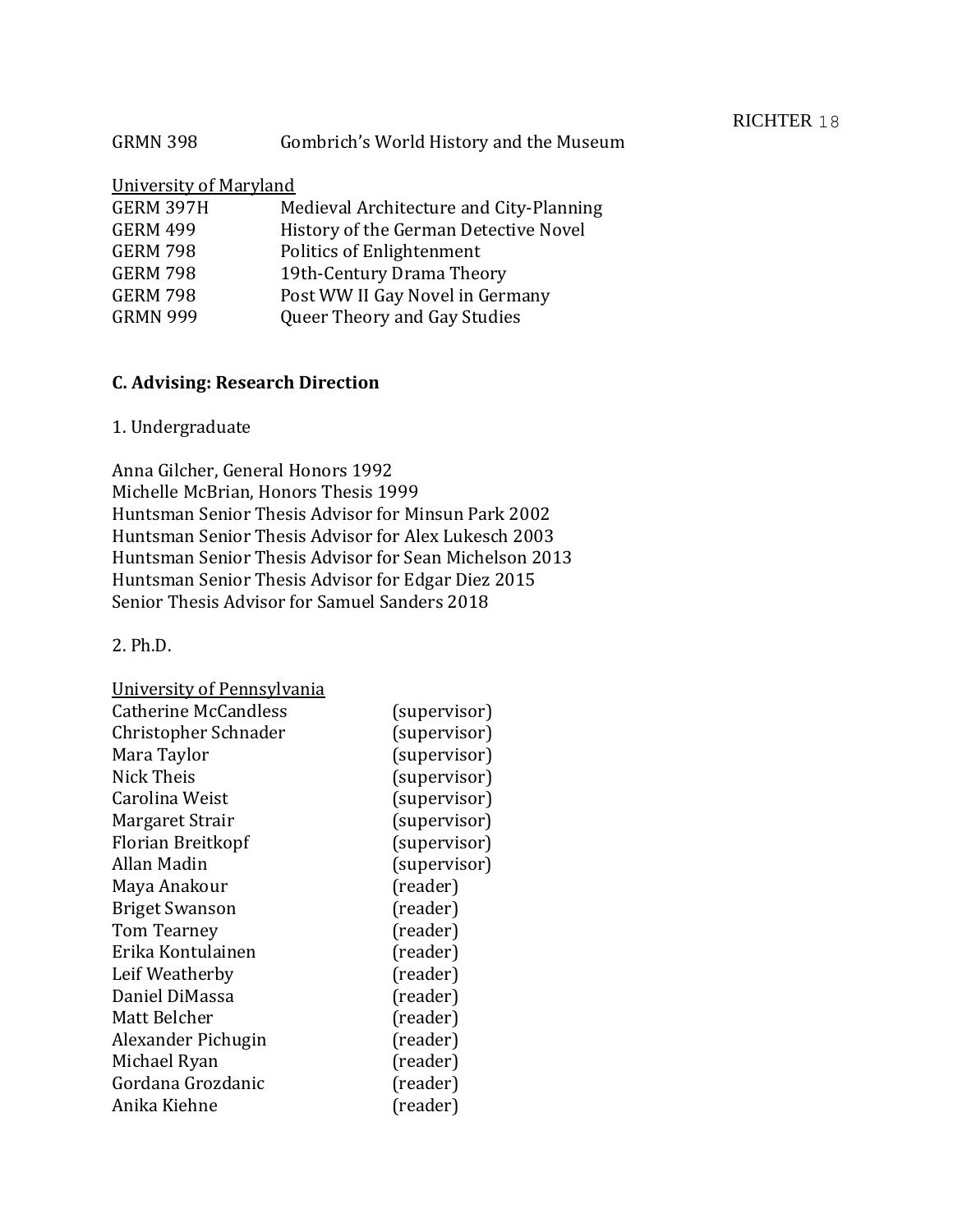## GRMN 398 Gombrich's World History and the Museum

# University of Maryland

| Medieval Architecture and City-Planning |
|-----------------------------------------|
| History of the German Detective Novel   |
| Politics of Enlightenment               |
| 19th-Century Drama Theory               |
| Post WW II Gay Novel in Germany         |
| Queer Theory and Gay Studies            |
|                                         |

# **C. Advising: Research Direction**

# 1. Undergraduate

Anna Gilcher, General Honors 1992 Michelle McBrian, Honors Thesis 1999 Huntsman Senior Thesis Advisor for Minsun Park 2002 Huntsman Senior Thesis Advisor for Alex Lukesch 2003 Huntsman Senior Thesis Advisor for Sean Michelson 2013 Huntsman Senior Thesis Advisor for Edgar Diez 2015 Senior Thesis Advisor for Samuel Sanders 2018

## 2. Ph.D.

| University of Pennsylvania |              |
|----------------------------|--------------|
| Catherine McCandless       | (supervisor) |
| Christopher Schnader       | (supervisor) |
| Mara Taylor                | (supervisor) |
| Nick Theis                 | (supervisor) |
| Carolina Weist             | (supervisor) |
| Margaret Strair            | (supervisor) |
| Florian Breitkopf          | (supervisor) |
| Allan Madin                | (supervisor) |
| Maya Anakour               | (reader)     |
| <b>Briget Swanson</b>      | (reader)     |
| Tom Tearney                | (reader)     |
| Erika Kontulainen          | (reader)     |
| Leif Weatherby             | (reader)     |
| Daniel DiMassa             | (reader)     |
| Matt Belcher               | (reader)     |
| Alexander Pichugin         | (reader)     |
| Michael Ryan               | (reader)     |
| Gordana Grozdanic          | (reader)     |
| Anika Kiehne               | (reader)     |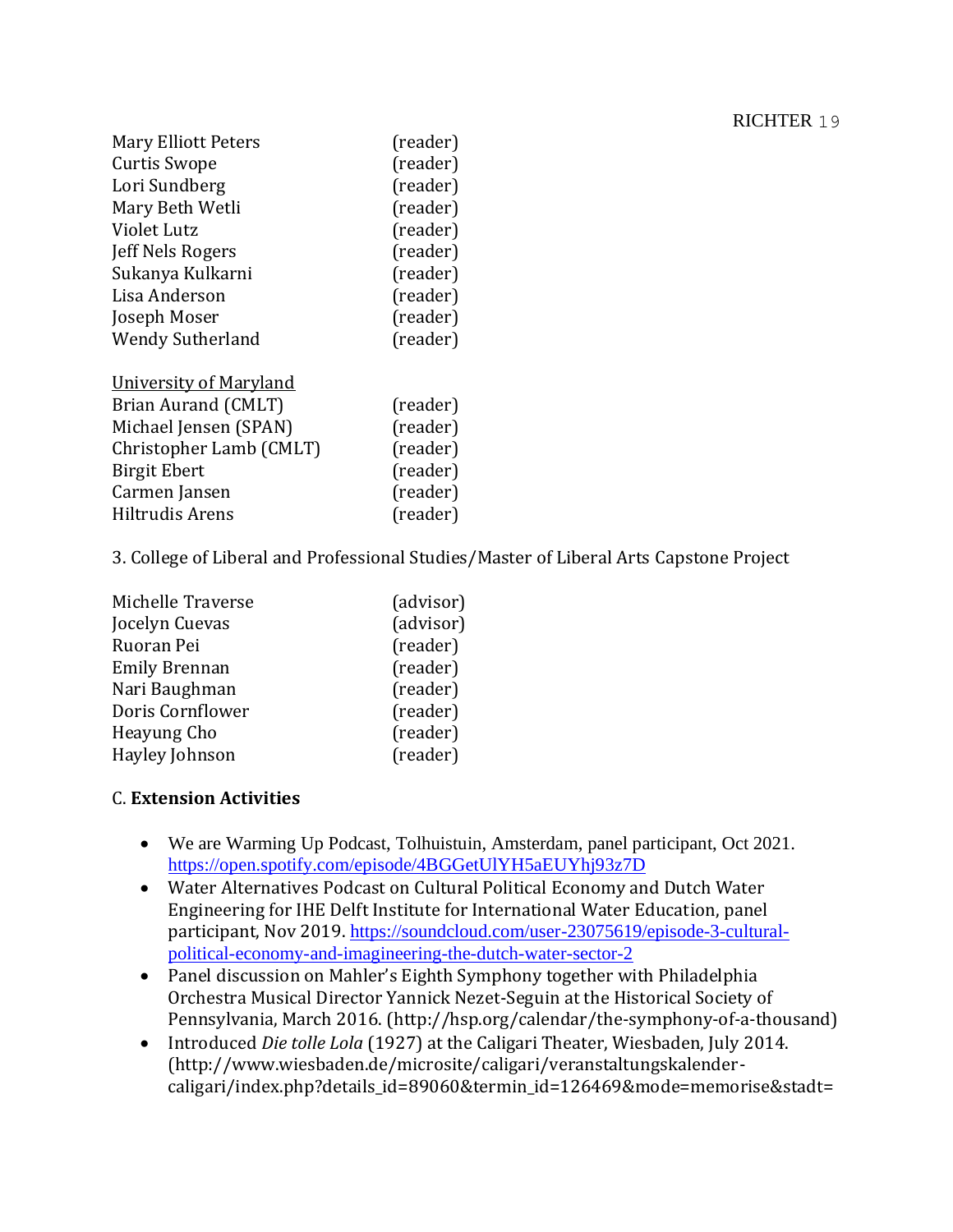| (reader) |
|----------|
| (reader) |
| (reader) |
| (reader) |
| (reader) |
| (reader) |
| (reader) |
| (reader) |
| (reader) |
| (reader) |
|          |

| University of Maryland  |          |
|-------------------------|----------|
| Brian Aurand (CMLT)     | (reader) |
| Michael Jensen (SPAN)   | (reader) |
| Christopher Lamb (CMLT) | (reader) |
| <b>Birgit Ebert</b>     | (reader) |
| Carmen Jansen           | (reader) |
| Hiltrudis Arens         | (reader) |

3. College of Liberal and Professional Studies/Master of Liberal Arts Capstone Project

| Michelle Traverse    | (advisor) |
|----------------------|-----------|
| Jocelyn Cuevas       | (advisor) |
| Ruoran Pei           | (reader)  |
| <b>Emily Brennan</b> | (reader)  |
| Nari Baughman        | (reader)  |
| Doris Cornflower     | (reader)  |
| Heayung Cho          | (reader)  |
| Hayley Johnson       | (reader)  |

# C. **Extension Activities**

- We are Warming Up Podcast, Tolhuistuin, Amsterdam, panel participant, Oct 2021. <https://open.spotify.com/episode/4BGGetUlYH5aEUYhj93z7D>
- Water Alternatives Podcast on Cultural Political Economy and Dutch Water Engineering for IHE Delft Institute for International Water Education, panel participant, Nov 2019. [https://soundcloud.com/user-23075619/episode-3-cultural](https://soundcloud.com/user-23075619/episode-3-cultural-political-economy-and-imagineering-the-dutch-water-sector-2)[political-economy-and-imagineering-the-dutch-water-sector-2](https://soundcloud.com/user-23075619/episode-3-cultural-political-economy-and-imagineering-the-dutch-water-sector-2)
- Panel discussion on Mahler's Eighth Symphony together with Philadelphia Orchestra Musical Director Yannick Nezet-Seguin at the Historical Society of Pennsylvania, March 2016. (http://hsp.org/calendar/the-symphony-of-a-thousand)
- Introduced *Die tolle Lola* (1927) at the Caligari Theater, Wiesbaden, July 2014. (http://www.wiesbaden.de/microsite/caligari/veranstaltungskalendercaligari/index.php?details\_id=89060&termin\_id=126469&mode=memorise&stadt=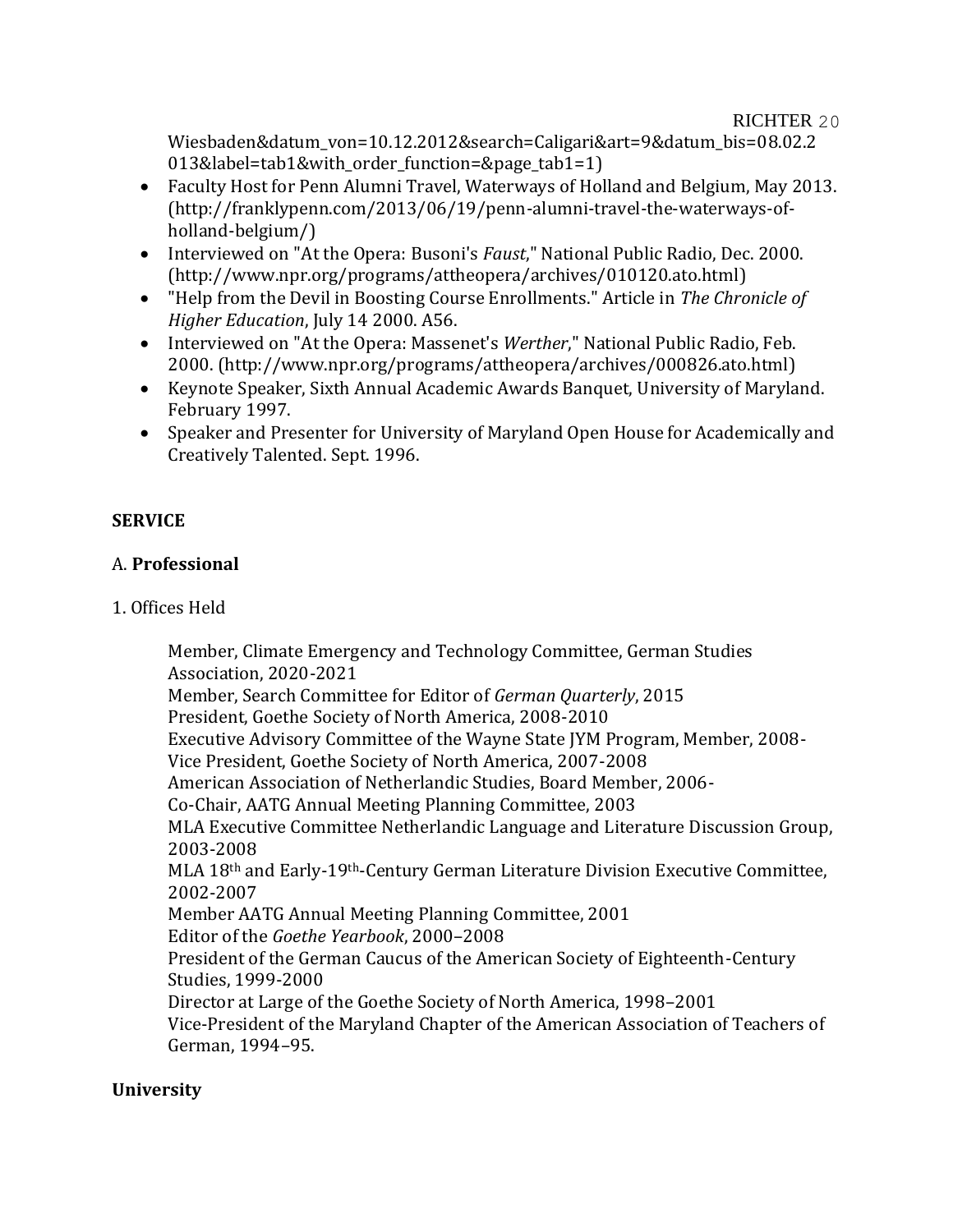Wiesbaden&datum\_von=10.12.2012&search=Caligari&art=9&datum\_bis=08.02.2 013&label=tab1&with\_order\_function=&page\_tab1=1)

- Faculty Host for Penn Alumni Travel, Waterways of Holland and Belgium, May 2013. (http://franklypenn.com/2013/06/19/penn-alumni-travel-the-waterways-ofholland-belgium/)
- Interviewed on "At the Opera: Busoni's *Faust*," National Public Radio, Dec. 2000. (http://www.npr.org/programs/attheopera/archives/010120.ato.html)
- "Help from the Devil in Boosting Course Enrollments." Article in *The Chronicle of Higher Education*, July 14 2000. A56.
- Interviewed on "At the Opera: Massenet's *Werther*," National Public Radio, Feb. 2000. (http://www.npr.org/programs/attheopera/archives/000826.ato.html)
- Keynote Speaker, Sixth Annual Academic Awards Banquet, University of Maryland. February 1997.
- Speaker and Presenter for University of Maryland Open House for Academically and Creatively Talented. Sept. 1996.

# **SERVICE**

# A. **Professional**

# 1. Offices Held

Member, Climate Emergency and Technology Committee, German Studies Association, 2020-2021 Member, Search Committee for Editor of *German Quarterly*, 2015 President, Goethe Society of North America, 2008-2010 Executive Advisory Committee of the Wayne State JYM Program, Member, 2008- Vice President, Goethe Society of North America, 2007-2008 American Association of Netherlandic Studies, Board Member, 2006- Co-Chair, AATG Annual Meeting Planning Committee, 2003 MLA Executive Committee Netherlandic Language and Literature Discussion Group, 2003-2008 MLA 18th and Early-19th-Century German Literature Division Executive Committee, 2002-2007 Member AATG Annual Meeting Planning Committee, 2001 Editor of the *Goethe Yearbook*, 2000–2008 President of the German Caucus of the American Society of Eighteenth-Century Studies, 1999-2000 Director at Large of the Goethe Society of North America, 1998–2001 Vice-President of the Maryland Chapter of the American Association of Teachers of German, 1994–95.

# **University**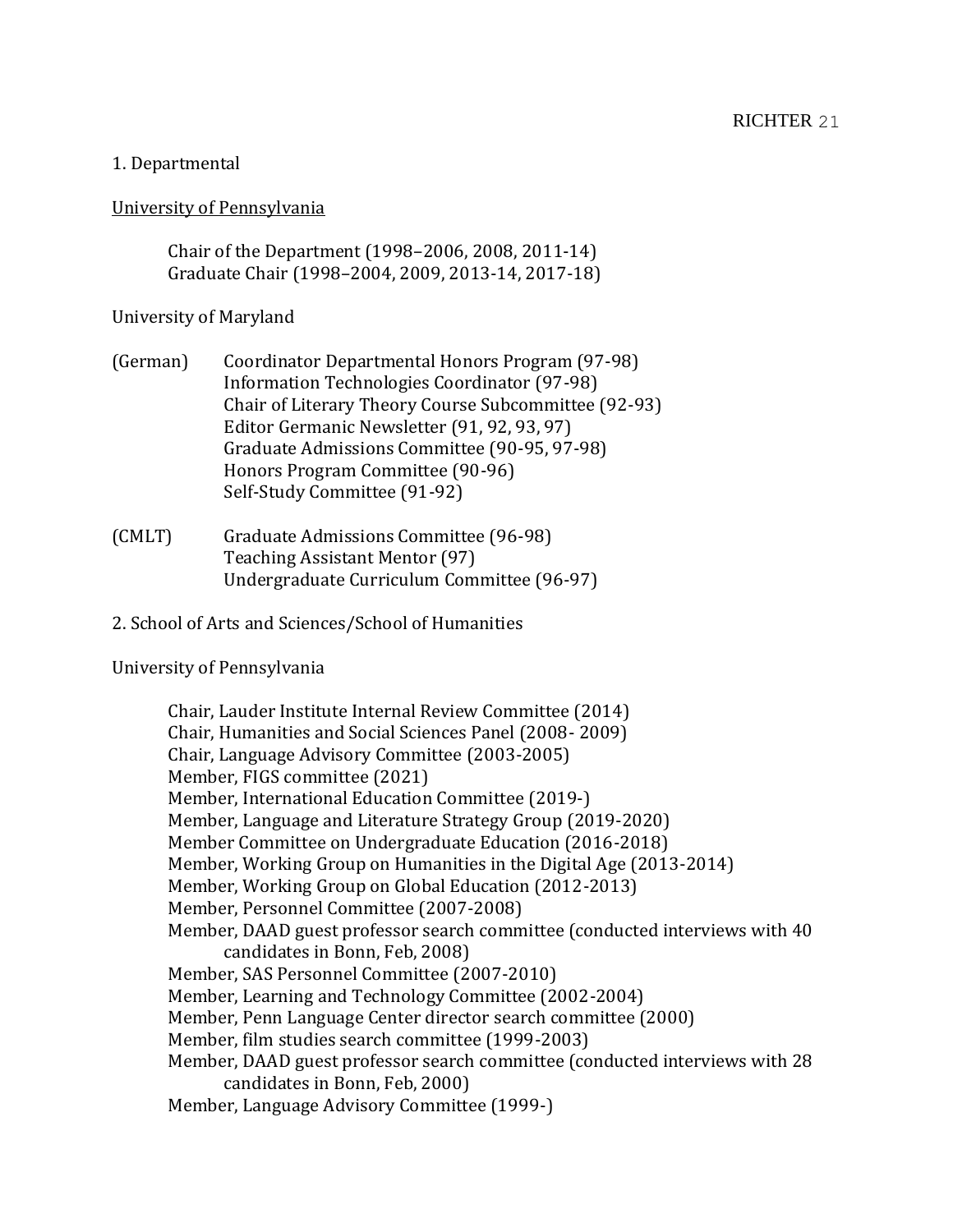### 1. Departmental

#### University of Pennsylvania

Chair of the Department (1998–2006, 2008, 2011-14) Graduate Chair (1998–2004, 2009, 2013-14, 2017-18)

### University of Maryland

- (German) Coordinator Departmental Honors Program (97-98) Information Technologies Coordinator (97-98) Chair of Literary Theory Course Subcommittee (92-93) Editor Germanic Newsletter (91, 92, 93, 97) Graduate Admissions Committee (90-95, 97-98) Honors Program Committee (90-96) Self-Study Committee (91-92)
- (CMLT) Graduate Admissions Committee (96-98) Teaching Assistant Mentor (97) Undergraduate Curriculum Committee (96-97)

### 2. School of Arts and Sciences/School of Humanities

#### University of Pennsylvania

Chair, Lauder Institute Internal Review Committee (2014) Chair, Humanities and Social Sciences Panel (2008- 2009) Chair, Language Advisory Committee (2003-2005) Member, FIGS committee (2021) Member, International Education Committee (2019-) Member, Language and Literature Strategy Group (2019-2020) Member Committee on Undergraduate Education (2016-2018) Member, Working Group on Humanities in the Digital Age (2013-2014) Member, Working Group on Global Education (2012-2013) Member, Personnel Committee (2007-2008) Member, DAAD guest professor search committee (conducted interviews with 40 candidates in Bonn, Feb, 2008) Member, SAS Personnel Committee (2007-2010) Member, Learning and Technology Committee (2002-2004) Member, Penn Language Center director search committee (2000) Member, film studies search committee (1999-2003) Member, DAAD guest professor search committee (conducted interviews with 28 candidates in Bonn, Feb, 2000) Member, Language Advisory Committee (1999-)